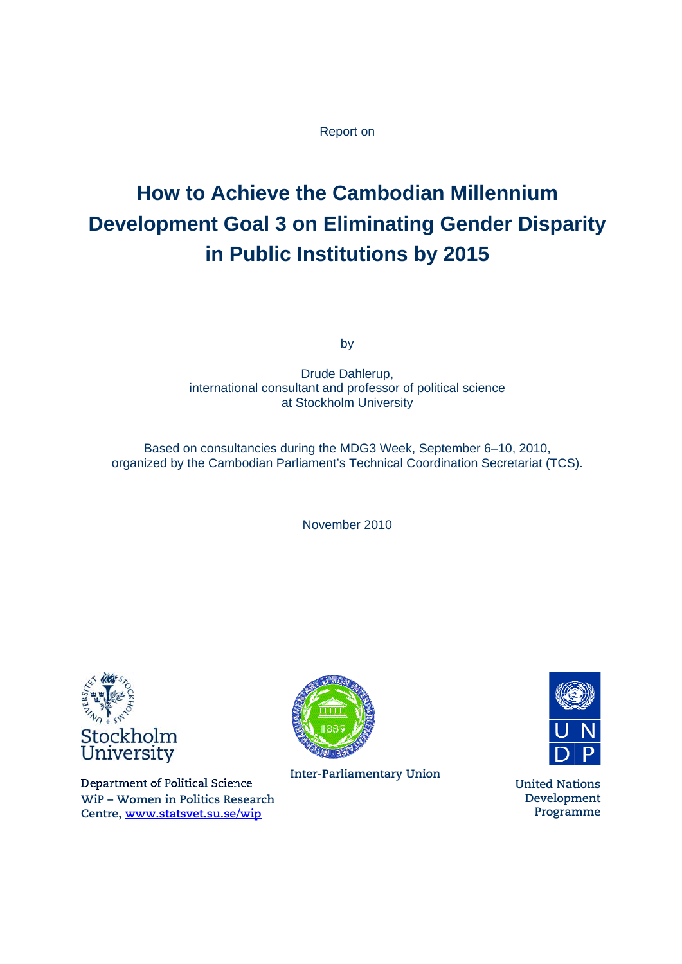### Report on

# **How to Achieve the Cambodian Millennium Development Goal 3 on Eliminating Gender Disparity in Public Institutions by 2015**

by

Drude Dahlerup, international consultant and professor of political science at Stockholm University

Based on consultancies during the MDG3 Week, September 6–10, 2010, organized by the Cambodian Parliament's Technical Coordination Secretariat (TCS).

November 2010



Department of Political Science **WiP – Women in Politics Research Centre, www.statsvet.su.se/wip**



**Inter-Parliamentary Union United Nations** 



**Development Programme**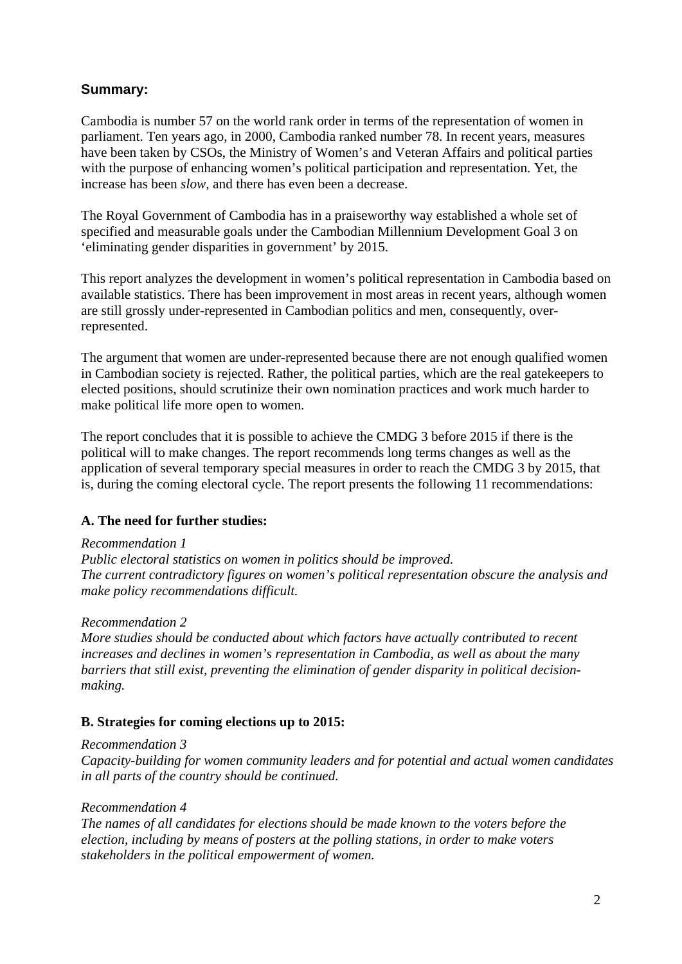# **Summary:**

Cambodia is number 57 on the world rank order in terms of the representation of women in parliament. Ten years ago, in 2000, Cambodia ranked number 78. In recent years, measures have been taken by CSOs, the Ministry of Women's and Veteran Affairs and political parties with the purpose of enhancing women's political participation and representation. Yet, the increase has been *slow*, and there has even been a decrease.

The Royal Government of Cambodia has in a praiseworthy way established a whole set of specified and measurable goals under the Cambodian Millennium Development Goal 3 on 'eliminating gender disparities in government' by 2015.

This report analyzes the development in women's political representation in Cambodia based on available statistics. There has been improvement in most areas in recent years, although women are still grossly under-represented in Cambodian politics and men, consequently, overrepresented.

The argument that women are under-represented because there are not enough qualified women in Cambodian society is rejected. Rather, the political parties, which are the real gatekeepers to elected positions, should scrutinize their own nomination practices and work much harder to make political life more open to women.

The report concludes that it is possible to achieve the CMDG 3 before 2015 if there is the political will to make changes. The report recommends long terms changes as well as the application of several temporary special measures in order to reach the CMDG 3 by 2015, that is, during the coming electoral cycle. The report presents the following 11 recommendations:

# **A. The need for further studies:**

#### *Recommendation 1*

*Public electoral statistics on women in politics should be improved. The current contradictory figures on women's political representation obscure the analysis and make policy recommendations difficult.*

# *Recommendation 2*

*More studies should be conducted about which factors have actually contributed to recent increases and declines in women's representation in Cambodia, as well as about the many barriers that still exist, preventing the elimination of gender disparity in political decisionmaking.* 

# **B. Strategies for coming elections up to 2015:**

#### *Recommendation 3*

*Capacity-building for women community leaders and for potential and actual women candidates in all parts of the country should be continued.* 

#### *Recommendation 4*

*The names of all candidates for elections should be made known to the voters before the election, including by means of posters at the polling stations, in order to make voters stakeholders in the political empowerment of women.*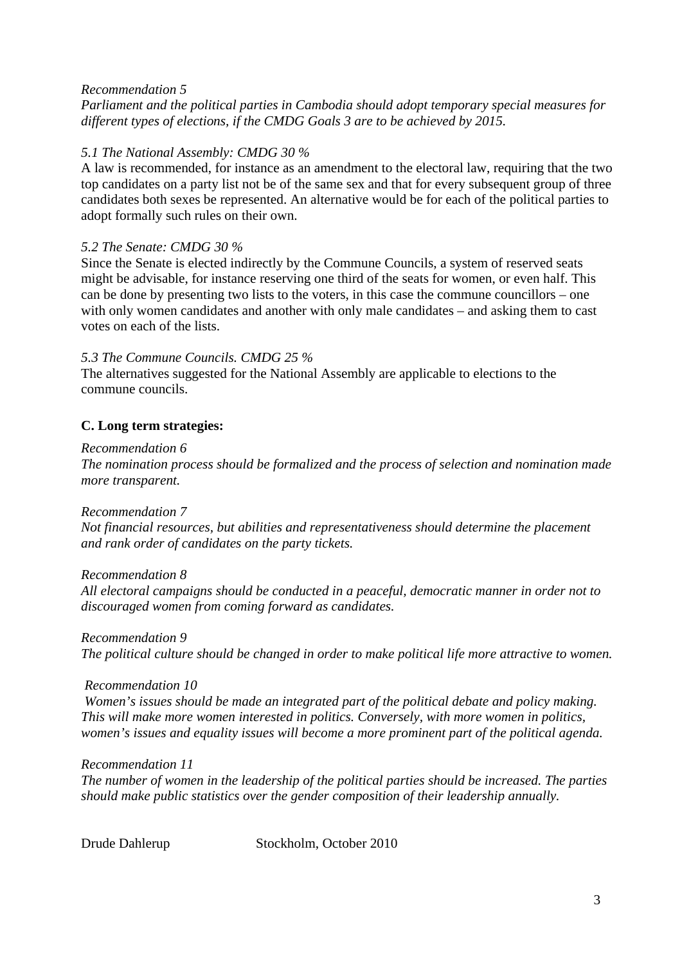### *Recommendation 5*

*Parliament and the political parties in Cambodia should adopt temporary special measures for different types of elections, if the CMDG Goals 3 are to be achieved by 2015.* 

### *5.1 The National Assembly: CMDG 30 %*

A law is recommended, for instance as an amendment to the electoral law, requiring that the two top candidates on a party list not be of the same sex and that for every subsequent group of three candidates both sexes be represented. An alternative would be for each of the political parties to adopt formally such rules on their own.

#### *5.2 The Senate: CMDG 30 %*

Since the Senate is elected indirectly by the Commune Councils, a system of reserved seats might be advisable, for instance reserving one third of the seats for women, or even half. This can be done by presenting two lists to the voters, in this case the commune councillors – one with only women candidates and another with only male candidates – and asking them to cast votes on each of the lists.

### *5.3 The Commune Councils. CMDG 25 %*

The alternatives suggested for the National Assembly are applicable to elections to the commune councils.

# **C. Long term strategies:**

#### *Recommendation 6*

*The nomination process should be formalized and the process of selection and nomination made more transparent.* 

#### *Recommendation 7*

*Not financial resources, but abilities and representativeness should determine the placement and rank order of candidates on the party tickets.* 

#### *Recommendation 8*

*All electoral campaigns should be conducted in a peaceful, democratic manner in order not to discouraged women from coming forward as candidates.* 

*Recommendation 9* 

*The political culture should be changed in order to make political life more attractive to women.* 

#### *Recommendation 10*

 *Women's issues should be made an integrated part of the political debate and policy making. This will make more women interested in politics. Conversely, with more women in politics, women's issues and equality issues will become a more prominent part of the political agenda.* 

#### *Recommendation 11*

*The number of women in the leadership of the political parties should be increased. The parties should make public statistics over the gender composition of their leadership annually.* 

Drude Dahlerup Stockholm, October 2010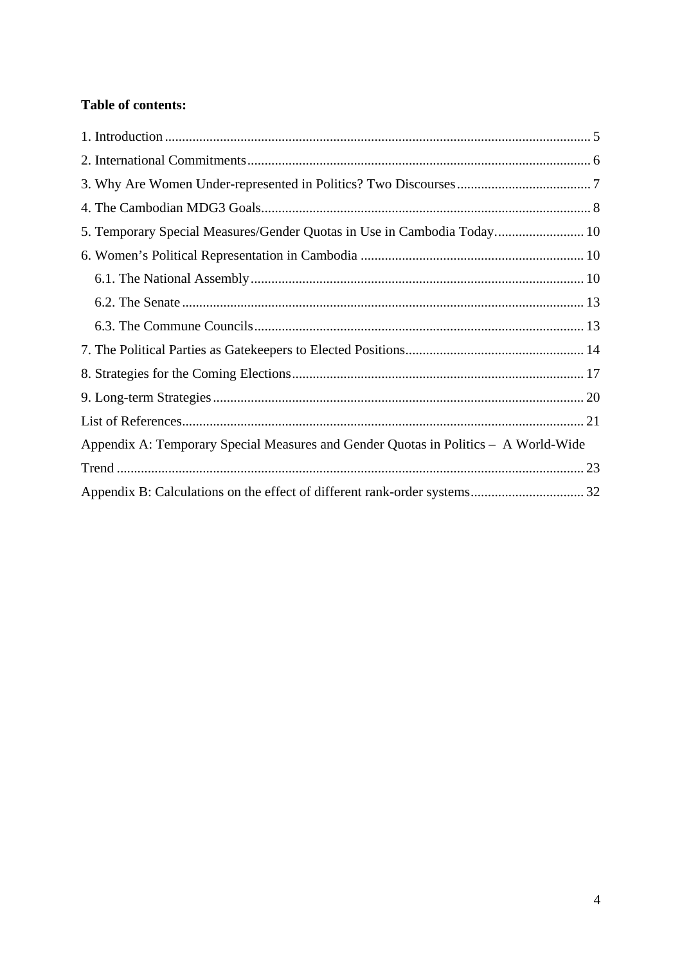# **Table of contents:**

| 5. Temporary Special Measures/Gender Quotas in Use in Cambodia Today 10             |  |
|-------------------------------------------------------------------------------------|--|
|                                                                                     |  |
|                                                                                     |  |
|                                                                                     |  |
|                                                                                     |  |
|                                                                                     |  |
|                                                                                     |  |
|                                                                                     |  |
|                                                                                     |  |
| Appendix A: Temporary Special Measures and Gender Quotas in Politics – A World-Wide |  |
|                                                                                     |  |
|                                                                                     |  |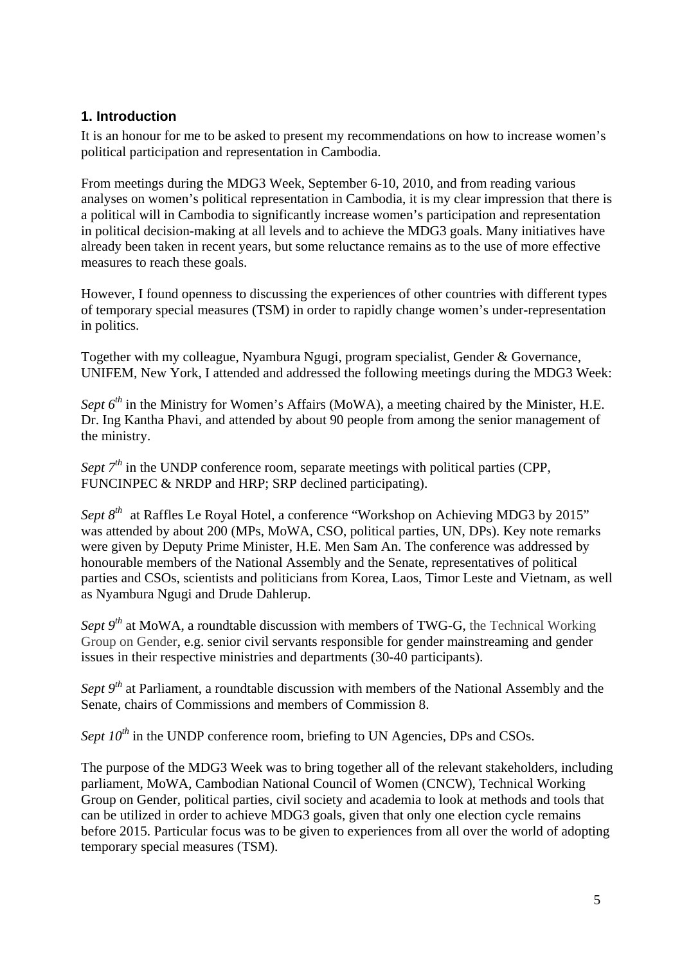# **1. Introduction**

It is an honour for me to be asked to present my recommendations on how to increase women's political participation and representation in Cambodia.

From meetings during the MDG3 Week, September 6-10, 2010, and from reading various analyses on women's political representation in Cambodia, it is my clear impression that there is a political will in Cambodia to significantly increase women's participation and representation in political decision-making at all levels and to achieve the MDG3 goals. Many initiatives have already been taken in recent years, but some reluctance remains as to the use of more effective measures to reach these goals.

However, I found openness to discussing the experiences of other countries with different types of temporary special measures (TSM) in order to rapidly change women's under-representation in politics.

Together with my colleague, Nyambura Ngugi, program specialist, Gender & Governance, UNIFEM, New York, I attended and addressed the following meetings during the MDG3 Week:

*Sept 6<sup>th</sup>* in the Ministry for Women's Affairs (MoWA), a meeting chaired by the Minister, H.E. Dr. Ing Kantha Phavi, and attended by about 90 people from among the senior management of the ministry.

*Sept* 7<sup>*th*</sup> in the UNDP conference room, separate meetings with political parties (CPP, FUNCINPEC & NRDP and HRP: SRP declined participating).

*Sept 8th* at Raffles Le Royal Hotel, a conference "Workshop on Achieving MDG3 by 2015" was attended by about 200 (MPs, MoWA, CSO, political parties, UN, DPs). Key note remarks were given by Deputy Prime Minister, H.E. Men Sam An. The conference was addressed by honourable members of the National Assembly and the Senate, representatives of political parties and CSOs, scientists and politicians from Korea, Laos, Timor Leste and Vietnam, as well as Nyambura Ngugi and Drude Dahlerup.

*Sept 9<sup>th</sup>* at MoWA, a roundtable discussion with members of TWG-G, the Technical Working Group on Gender, e.g. senior civil servants responsible for gender mainstreaming and gender issues in their respective ministries and departments (30-40 participants).

*Sept 9<sup>th</sup>* at Parliament, a roundtable discussion with members of the National Assembly and the Senate, chairs of Commissions and members of Commission 8.

*Sept*  $10^{th}$  in the UNDP conference room, briefing to UN Agencies, DPs and CSOs.

The purpose of the MDG3 Week was to bring together all of the relevant stakeholders, including parliament, MoWA, Cambodian National Council of Women (CNCW), Technical Working Group on Gender, political parties, civil society and academia to look at methods and tools that can be utilized in order to achieve MDG3 goals, given that only one election cycle remains before 2015. Particular focus was to be given to experiences from all over the world of adopting temporary special measures (TSM).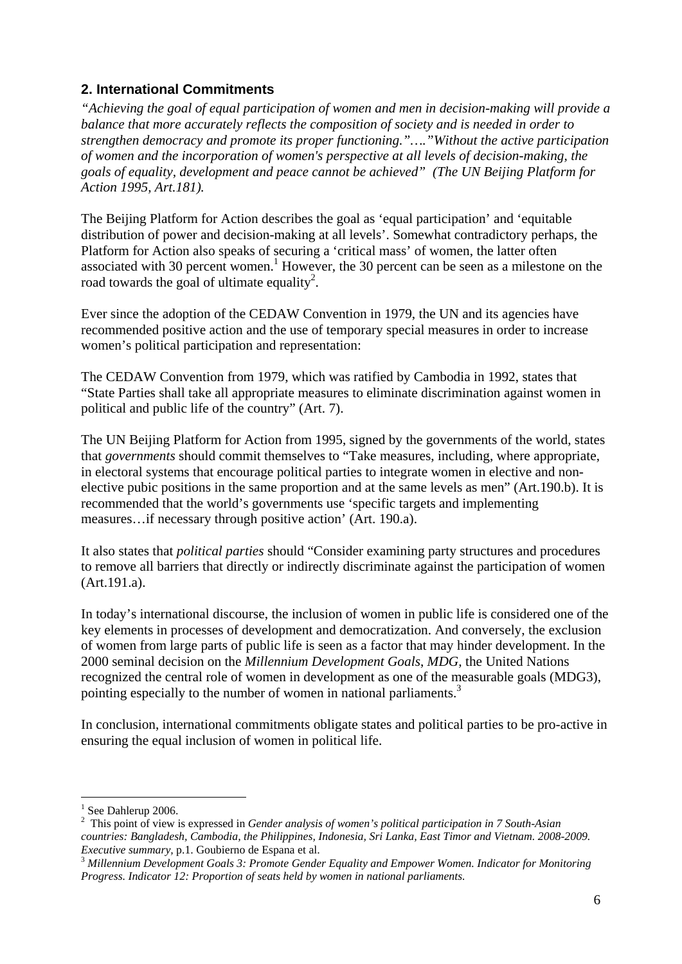# **2. International Commitments**

*"Achieving the goal of equal participation of women and men in decision-making will provide a balance that more accurately reflects the composition of society and is needed in order to strengthen democracy and promote its proper functioning."…."Without the active participation of women and the incorporation of women's perspective at all levels of decision-making, the goals of equality, development and peace cannot be achieved" (The UN Beijing Platform for Action 1995, Art.181).* 

The Beijing Platform for Action describes the goal as 'equal participation' and 'equitable distribution of power and decision-making at all levels'. Somewhat contradictory perhaps, the Platform for Action also speaks of securing a 'critical mass' of women, the latter often associated with 30 percent women.<sup>1</sup> However, the 30 percent can be seen as a milestone on the road towards the goal of ultimate equality<sup>2</sup>.

Ever since the adoption of the CEDAW Convention in 1979, the UN and its agencies have recommended positive action and the use of temporary special measures in order to increase women's political participation and representation:

The CEDAW Convention from 1979, which was ratified by Cambodia in 1992, states that "State Parties shall take all appropriate measures to eliminate discrimination against women in political and public life of the country" (Art. 7).

The UN Beijing Platform for Action from 1995, signed by the governments of the world, states that *governments* should commit themselves to "Take measures, including, where appropriate, in electoral systems that encourage political parties to integrate women in elective and nonelective pubic positions in the same proportion and at the same levels as men" (Art.190.b). It is recommended that the world's governments use 'specific targets and implementing measures…if necessary through positive action' (Art. 190.a).

It also states that *political parties* should "Consider examining party structures and procedures to remove all barriers that directly or indirectly discriminate against the participation of women (Art.191.a).

In today's international discourse, the inclusion of women in public life is considered one of the key elements in processes of development and democratization. And conversely, the exclusion of women from large parts of public life is seen as a factor that may hinder development. In the 2000 seminal decision on the *Millennium Development Goals*, *MDG,* the United Nations recognized the central role of women in development as one of the measurable goals (MDG3), pointing especially to the number of women in national parliaments.<sup>3</sup>

In conclusion, international commitments obligate states and political parties to be pro-active in ensuring the equal inclusion of women in political life.

1

<sup>&</sup>lt;sup>1</sup> See Dahlerup 2006.

<sup>2</sup> This point of view is expressed in *Gender analysis of women's political participation in 7 South-Asian countries: Bangladesh, Cambodia, the Philippines, Indonesia, Sri Lanka, East Timor and Vietnam. 2008-2009.* 

<sup>&</sup>lt;sup>3</sup> Millennium Development Goals 3: Promote Gender Equality and Empower Women. Indicator for Monitoring *Progress. Indicator 12: Proportion of seats held by women in national parliaments.*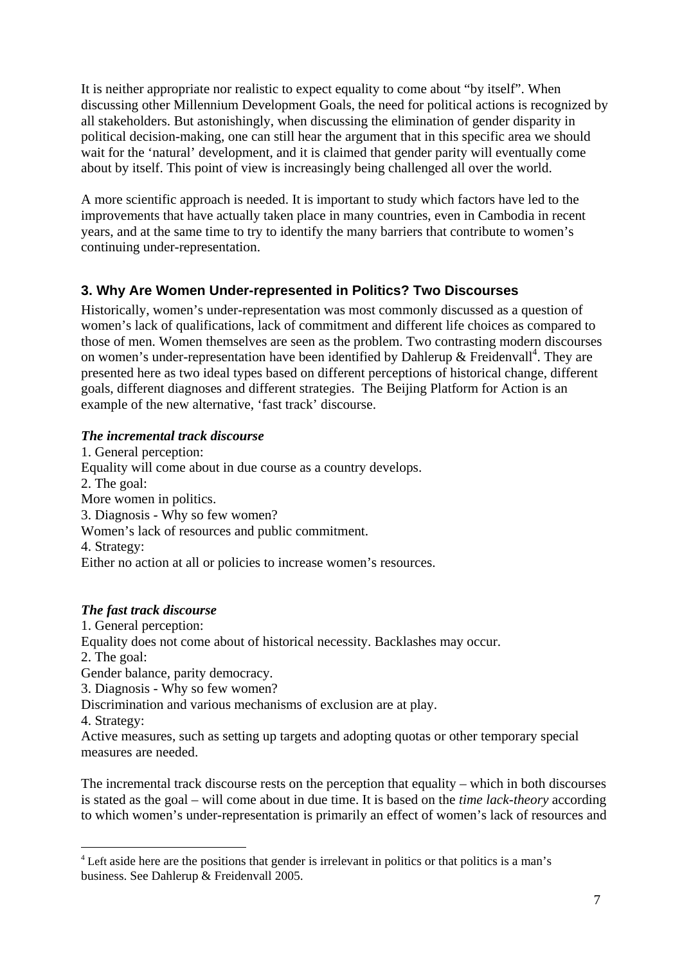It is neither appropriate nor realistic to expect equality to come about "by itself". When discussing other Millennium Development Goals, the need for political actions is recognized by all stakeholders. But astonishingly, when discussing the elimination of gender disparity in political decision-making, one can still hear the argument that in this specific area we should wait for the 'natural' development, and it is claimed that gender parity will eventually come about by itself. This point of view is increasingly being challenged all over the world.

A more scientific approach is needed. It is important to study which factors have led to the improvements that have actually taken place in many countries, even in Cambodia in recent years, and at the same time to try to identify the many barriers that contribute to women's continuing under-representation.

# **3. Why Are Women Under-represented in Politics? Two Discourses**

Historically, women's under-representation was most commonly discussed as a question of women's lack of qualifications, lack of commitment and different life choices as compared to those of men. Women themselves are seen as the problem. Two contrasting modern discourses on women's under-representation have been identified by Dahlerup & Freidenvall<sup>4</sup>. They are presented here as two ideal types based on different perceptions of historical change, different goals, different diagnoses and different strategies. The Beijing Platform for Action is an example of the new alternative, 'fast track' discourse.

# *The incremental track discourse*

1. General perception: Equality will come about in due course as a country develops. 2. The goal: More women in politics. 3. Diagnosis - Why so few women? Women's lack of resources and public commitment. 4. Strategy: Either no action at all or policies to increase women's resources.

# *The fast track discourse*

<u>.</u>

1. General perception: Equality does not come about of historical necessity. Backlashes may occur. 2. The goal: Gender balance, parity democracy. 3. Diagnosis - Why so few women? Discrimination and various mechanisms of exclusion are at play. 4. Strategy: Active measures, such as setting up targets and adopting quotas or other temporary special measures are needed.

The incremental track discourse rests on the perception that equality – which in both discourses is stated as the goal – will come about in due time. It is based on the *time lack-theory* according to which women's under-representation is primarily an effect of women's lack of resources and

<sup>&</sup>lt;sup>4</sup> Left aside here are the positions that gender is irrelevant in politics or that politics is a man's business. See Dahlerup & Freidenvall 2005.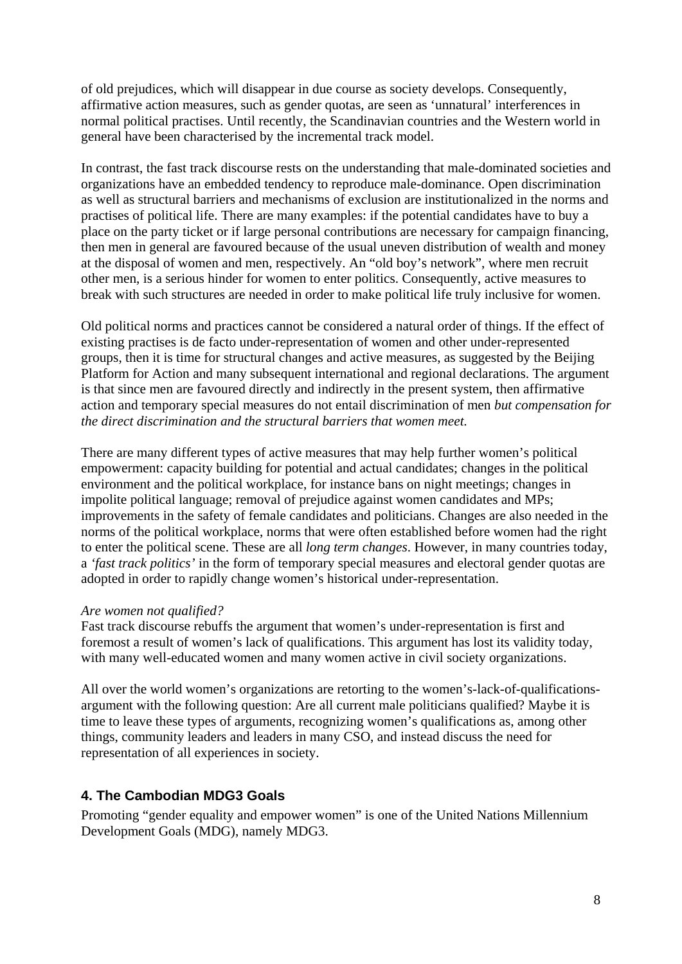of old prejudices, which will disappear in due course as society develops. Consequently, affirmative action measures, such as gender quotas, are seen as 'unnatural' interferences in normal political practises. Until recently, the Scandinavian countries and the Western world in general have been characterised by the incremental track model.

In contrast, the fast track discourse rests on the understanding that male-dominated societies and organizations have an embedded tendency to reproduce male-dominance. Open discrimination as well as structural barriers and mechanisms of exclusion are institutionalized in the norms and practises of political life. There are many examples: if the potential candidates have to buy a place on the party ticket or if large personal contributions are necessary for campaign financing, then men in general are favoured because of the usual uneven distribution of wealth and money at the disposal of women and men, respectively. An "old boy's network", where men recruit other men, is a serious hinder for women to enter politics. Consequently, active measures to break with such structures are needed in order to make political life truly inclusive for women.

Old political norms and practices cannot be considered a natural order of things. If the effect of existing practises is de facto under-representation of women and other under-represented groups, then it is time for structural changes and active measures, as suggested by the Beijing Platform for Action and many subsequent international and regional declarations. The argument is that since men are favoured directly and indirectly in the present system, then affirmative action and temporary special measures do not entail discrimination of men *but compensation for the direct discrimination and the structural barriers that women meet.* 

There are many different types of active measures that may help further women's political empowerment: capacity building for potential and actual candidates; changes in the political environment and the political workplace, for instance bans on night meetings; changes in impolite political language; removal of prejudice against women candidates and MPs; improvements in the safety of female candidates and politicians. Changes are also needed in the norms of the political workplace, norms that were often established before women had the right to enter the political scene. These are all *long term changes*. However, in many countries today, a *'fast track politics'* in the form of temporary special measures and electoral gender quotas are adopted in order to rapidly change women's historical under-representation.

#### *Are women not qualified?*

Fast track discourse rebuffs the argument that women's under-representation is first and foremost a result of women's lack of qualifications. This argument has lost its validity today, with many well-educated women and many women active in civil society organizations.

All over the world women's organizations are retorting to the women's-lack-of-qualificationsargument with the following question: Are all current male politicians qualified? Maybe it is time to leave these types of arguments, recognizing women's qualifications as, among other things, community leaders and leaders in many CSO, and instead discuss the need for representation of all experiences in society.

# **4. The Cambodian MDG3 Goals**

Promoting "gender equality and empower women" is one of the United Nations Millennium Development Goals (MDG), namely MDG3.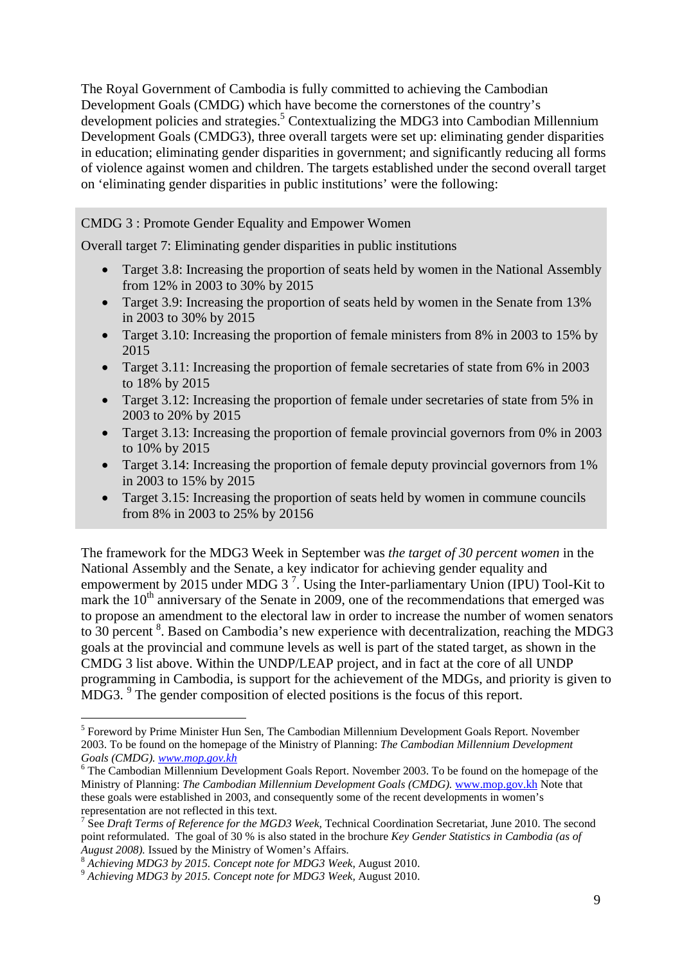The Royal Government of Cambodia is fully committed to achieving the Cambodian Development Goals (CMDG) which have become the cornerstones of the country's development policies and strategies.<sup>5</sup> Contextualizing the MDG3 into Cambodian Millennium Development Goals (CMDG3), three overall targets were set up: eliminating gender disparities in education; eliminating gender disparities in government; and significantly reducing all forms of violence against women and children. The targets established under the second overall target on 'eliminating gender disparities in public institutions' were the following:

# CMDG 3 : Promote Gender Equality and Empower Women

Overall target 7: Eliminating gender disparities in public institutions

- Target 3.8: Increasing the proportion of seats held by women in the National Assembly from 12% in 2003 to 30% by 2015
- Target 3.9: Increasing the proportion of seats held by women in the Senate from 13% in 2003 to 30% by 2015
- Target 3.10: Increasing the proportion of female ministers from 8% in 2003 to 15% by 2015
- Target 3.11: Increasing the proportion of female secretaries of state from 6% in 2003 to 18% by 2015
- Target 3.12: Increasing the proportion of female under secretaries of state from 5% in 2003 to 20% by 2015
- Target 3.13: Increasing the proportion of female provincial governors from 0% in 2003 to 10% by 2015
- Target 3.14: Increasing the proportion of female deputy provincial governors from 1% in 2003 to 15% by 2015
- Target 3.15: Increasing the proportion of seats held by women in commune councils from 8% in 2003 to 25% by 20156

The framework for the MDG3 Week in September was *the target of 30 percent women* in the National Assembly and the Senate, a key indicator for achieving gender equality and empowerment by 2015 under MDG 3<sup>7</sup>. Using the Inter-parliamentary Union (IPU) Tool-Kit to mark the  $10<sup>th</sup>$  anniversary of the Senate in 2009, one of the recommendations that emerged was to propose an amendment to the electoral law in order to increase the number of women senators to 30 percent  $8$ . Based on Cambodia's new experience with decentralization, reaching the MDG3 goals at the provincial and commune levels as well is part of the stated target, as shown in the CMDG 3 list above. Within the UNDP/LEAP project, and in fact at the core of all UNDP programming in Cambodia, is support for the achievement of the MDGs, and priority is given to  $MDG3.$ <sup>9</sup> The gender composition of elected positions is the focus of this report.

1

<sup>&</sup>lt;sup>5</sup> Foreword by Prime Minister Hun Sen, The Cambodian Millennium Development Goals Report. November 2003. To be found on the homepage of the Ministry of Planning: *The Cambodian Millennium Development Goals (CMDG). www.mop.gov.kh* <sup>6</sup>

<sup>&</sup>lt;sup>6</sup> The Cambodian Millennium Development Goals Report. November 2003. To be found on the homepage of the Ministry of Planning: *The Cambodian Millennium Development Goals (CMDG).* www.mop.gov.kh Note that these goals were established in 2003, and consequently some of the recent developments in women's representation are not reflected in this text.

<sup>7</sup> See *Draft Terms of Reference for the MGD3 Week,* Technical Coordination Secretariat, June 2010. The second point reformulated. The goal of 30 % is also stated in the brochure *Key Gender Statistics in Cambodia (as of August 2008).* Issued by the Ministry of Women's Affairs. 8 *Achieving MDG3 by 2015. Concept note for MDG3 Week,* August 2010. 9 *Achieving MDG3 by 2015. Concept note for MDG3 Week,* August 2010.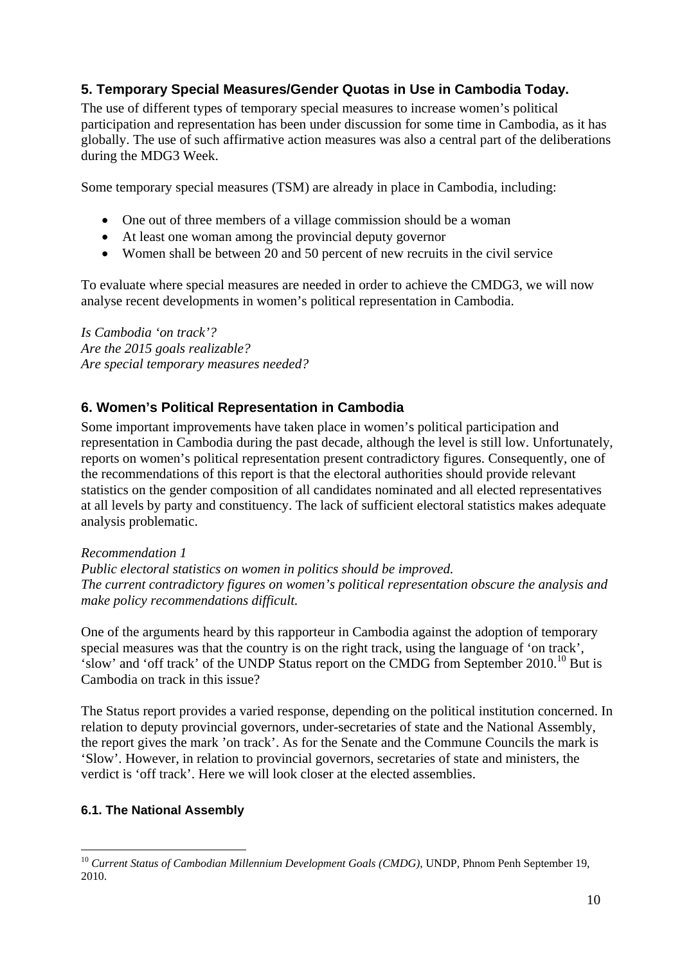# **5. Temporary Special Measures/Gender Quotas in Use in Cambodia Today.**

The use of different types of temporary special measures to increase women's political participation and representation has been under discussion for some time in Cambodia, as it has globally. The use of such affirmative action measures was also a central part of the deliberations during the MDG3 Week.

Some temporary special measures (TSM) are already in place in Cambodia, including:

- One out of three members of a village commission should be a woman
- At least one woman among the provincial deputy governor
- Women shall be between 20 and 50 percent of new recruits in the civil service

To evaluate where special measures are needed in order to achieve the CMDG3, we will now analyse recent developments in women's political representation in Cambodia.

*Is Cambodia 'on track'? Are the 2015 goals realizable? Are special temporary measures needed?* 

# **6. Women's Political Representation in Cambodia**

Some important improvements have taken place in women's political participation and representation in Cambodia during the past decade, although the level is still low. Unfortunately, reports on women's political representation present contradictory figures. Consequently, one of the recommendations of this report is that the electoral authorities should provide relevant statistics on the gender composition of all candidates nominated and all elected representatives at all levels by party and constituency. The lack of sufficient electoral statistics makes adequate analysis problematic.

#### *Recommendation 1*

*Public electoral statistics on women in politics should be improved. The current contradictory figures on women's political representation obscure the analysis and make policy recommendations difficult.*

One of the arguments heard by this rapporteur in Cambodia against the adoption of temporary special measures was that the country is on the right track, using the language of 'on track', 'slow' and 'off track' of the UNDP Status report on the CMDG from September 2010.<sup>10</sup> But is Cambodia on track in this issue?

The Status report provides a varied response, depending on the political institution concerned. In relation to deputy provincial governors, under-secretaries of state and the National Assembly, the report gives the mark 'on track'. As for the Senate and the Commune Councils the mark is 'Slow'. However, in relation to provincial governors, secretaries of state and ministers, the verdict is 'off track'. Here we will look closer at the elected assemblies.

# **6.1. The National Assembly**

<sup>1</sup> <sup>10</sup> Current Status of Cambodian Millennium Development Goals (CMDG), UNDP, Phnom Penh September 19, 2010.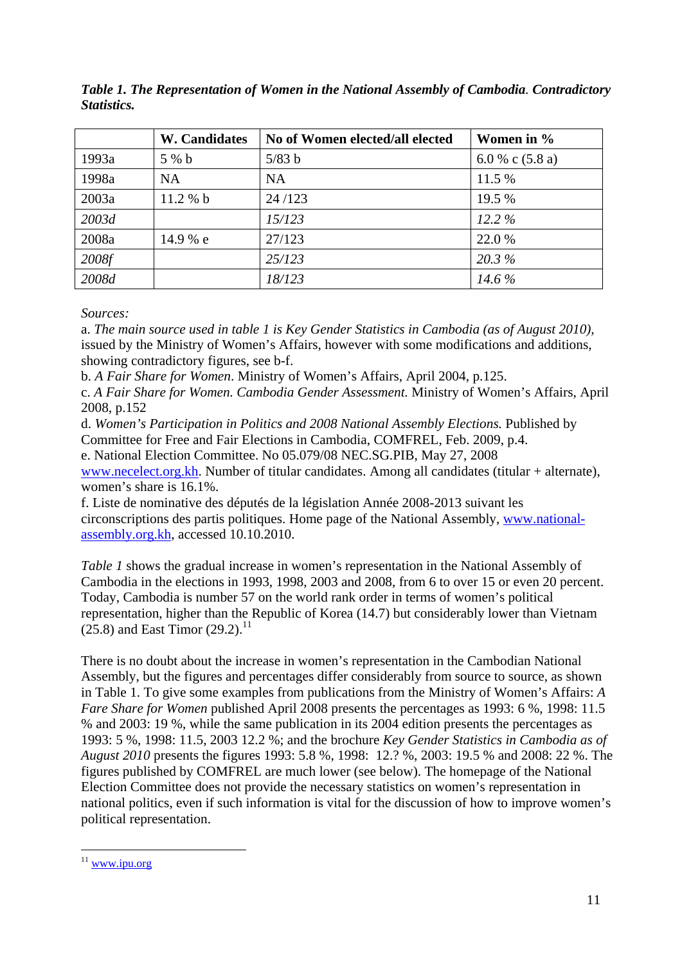|       | <b>W. Candidates</b> | No of Women elected/all elected | Women in %       |
|-------|----------------------|---------------------------------|------------------|
| 1993a | 5 % b                | 5/83 b                          | 6.0 % c $(5.8a)$ |
| 1998a | <b>NA</b>            | <b>NA</b>                       | 11.5 %           |
| 2003a | 11.2% b              | 24/123                          | 19.5 %           |
| 2003d |                      | 15/123                          | $12.2\%$         |
| 2008a | 14.9 % e             | 27/123                          | 22.0 %           |
| 2008f |                      | 25/123                          | 20.3%            |
| 2008d |                      | 18/123                          | 14.6 %           |

*Table 1. The Representation of Women in the National Assembly of Cambodia. Contradictory Statistics.*

*Sources:* 

a. *The main source used in table 1 is Key Gender Statistics in Cambodia (as of August 2010),*  issued by the Ministry of Women's Affairs, however with some modifications and additions, showing contradictory figures, see b-f.

b. *A Fair Share for Women*. Ministry of Women's Affairs, April 2004, p.125.

c. *A Fair Share for Women. Cambodia Gender Assessment.* Ministry of Women's Affairs, April 2008, p.152

d. *Women's Participation in Politics and 2008 National Assembly Elections.* Published by Committee for Free and Fair Elections in Cambodia, COMFREL, Feb. 2009, p.4.

e. National Election Committee. No 05.079/08 NEC.SG.PIB, May 27, 2008

www.necelect.org.kh. Number of titular candidates. Among all candidates (titular + alternate), women's share is 16.1%.

f. Liste de nominative des députés de la législation Année 2008-2013 suivant les circonscriptions des partis politiques. Home page of the National Assembly, www.nationalassembly.org.kh, accessed 10.10.2010.

*Table 1* shows the gradual increase in women's representation in the National Assembly of Cambodia in the elections in 1993, 1998, 2003 and 2008, from 6 to over 15 or even 20 percent. Today, Cambodia is number 57 on the world rank order in terms of women's political representation, higher than the Republic of Korea (14.7) but considerably lower than Vietnam  $(25.8)$  and East Timor  $(29.2).$ <sup>11</sup>

There is no doubt about the increase in women's representation in the Cambodian National Assembly, but the figures and percentages differ considerably from source to source, as shown in Table 1. To give some examples from publications from the Ministry of Women's Affairs: *A Fare Share for Women published April 2008 presents the percentages as 1993: 6 %, 1998: 11.5* % and 2003: 19 %, while the same publication in its 2004 edition presents the percentages as 1993: 5 %, 1998: 11.5, 2003 12.2 %; and the brochure *Key Gender Statistics in Cambodia as of August 2010* presents the figures 1993: 5.8 %, 1998: 12.? %, 2003: 19.5 % and 2008: 22 %. The figures published by COMFREL are much lower (see below). The homepage of the National Election Committee does not provide the necessary statistics on women's representation in national politics, even if such information is vital for the discussion of how to improve women's political representation.

1

<sup>&</sup>lt;sup>11</sup> www.ipu.org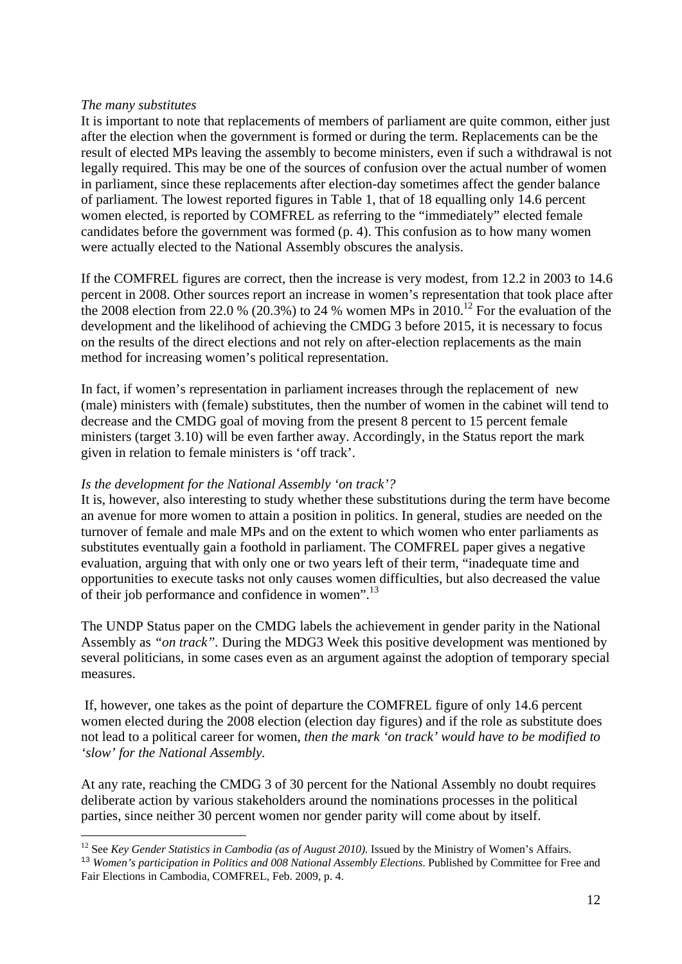#### *The many substitutes*

1

It is important to note that replacements of members of parliament are quite common, either just after the election when the government is formed or during the term. Replacements can be the result of elected MPs leaving the assembly to become ministers, even if such a withdrawal is not legally required. This may be one of the sources of confusion over the actual number of women in parliament, since these replacements after election-day sometimes affect the gender balance of parliament. The lowest reported figures in Table 1, that of 18 equalling only 14.6 percent women elected, is reported by COMFREL as referring to the "immediately" elected female candidates before the government was formed (p. 4). This confusion as to how many women were actually elected to the National Assembly obscures the analysis.

If the COMFREL figures are correct, then the increase is very modest, from 12.2 in 2003 to 14.6 percent in 2008. Other sources report an increase in women's representation that took place after the 2008 election from 22.0 % (20.3%) to 24 % women MPs in  $2010$ .<sup>12</sup> For the evaluation of the development and the likelihood of achieving the CMDG 3 before 2015, it is necessary to focus on the results of the direct elections and not rely on after-election replacements as the main method for increasing women's political representation.

In fact, if women's representation in parliament increases through the replacement of new (male) ministers with (female) substitutes, then the number of women in the cabinet will tend to decrease and the CMDG goal of moving from the present 8 percent to 15 percent female ministers (target 3.10) will be even farther away. Accordingly, in the Status report the mark given in relation to female ministers is 'off track'.

#### *Is the development for the National Assembly 'on track'?*

It is, however, also interesting to study whether these substitutions during the term have become an avenue for more women to attain a position in politics. In general, studies are needed on the turnover of female and male MPs and on the extent to which women who enter parliaments as substitutes eventually gain a foothold in parliament. The COMFREL paper gives a negative evaluation, arguing that with only one or two years left of their term, "inadequate time and opportunities to execute tasks not only causes women difficulties, but also decreased the value of their job performance and confidence in women".13

The UNDP Status paper on the CMDG labels the achievement in gender parity in the National Assembly as *"on track".* During the MDG3 Week this positive development was mentioned by several politicians, in some cases even as an argument against the adoption of temporary special measures.

 If, however, one takes as the point of departure the COMFREL figure of only 14.6 percent women elected during the 2008 election (election day figures) and if the role as substitute does not lead to a political career for women, *then the mark 'on track' would have to be modified to 'slow' for the National Assembly.* 

At any rate, reaching the CMDG 3 of 30 percent for the National Assembly no doubt requires deliberate action by various stakeholders around the nominations processes in the political parties, since neither 30 percent women nor gender parity will come about by itself.

<sup>&</sup>lt;sup>12</sup> See *Key Gender Statistics in Cambodia (as of August 2010)*. Issued by the Ministry of Women's Affairs.

<sup>13</sup> *Women's participation in Politics and 008 National Assembly Elections*. Published by Committee for Free and Fair Elections in Cambodia, COMFREL, Feb. 2009, p. 4.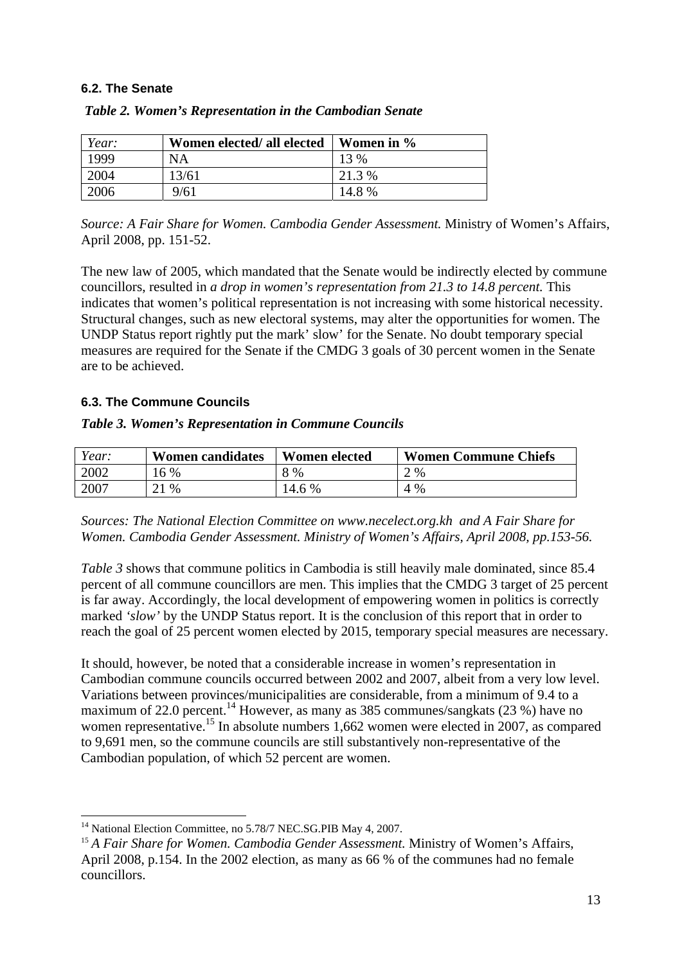### **6.2. The Senate**

| Year: | Women elected/ all elected | Women in % |
|-------|----------------------------|------------|
| 1999  | NA                         | $13\%$     |
| 2004  | 13/61                      | 21.3 %     |
| 2006  | 9/61                       | 14.8 %     |

|  | Table 2. Women's Representation in the Cambodian Senate |  |  |
|--|---------------------------------------------------------|--|--|
|  |                                                         |  |  |

*Source: A Fair Share for Women. Cambodia Gender Assessment.* Ministry of Women's Affairs, April 2008, pp. 151-52.

The new law of 2005, which mandated that the Senate would be indirectly elected by commune councillors, resulted in *a drop in women's representation from 21.3 to 14.8 percent.* This indicates that women's political representation is not increasing with some historical necessity. Structural changes, such as new electoral systems, may alter the opportunities for women. The UNDP Status report rightly put the mark' slow' for the Senate. No doubt temporary special measures are required for the Senate if the CMDG 3 goals of 30 percent women in the Senate are to be achieved.

### **6.3. The Commune Councils**

#### *Table 3. Women's Representation in Commune Councils*

| Year: | <b>Women candidates</b> | <b>Women</b> elected | <b>Women Commune Chiefs</b> |
|-------|-------------------------|----------------------|-----------------------------|
| 2002  | 16 %                    | 8 %                  | 2 %                         |
| 2007  | 21 %                    | l4.6 %               | 4 %                         |

*Sources: The National Election Committee on www.necelect.org.kh and A Fair Share for Women. Cambodia Gender Assessment. Ministry of Women's Affairs, April 2008, pp.153-56.* 

*Table 3* shows that commune politics in Cambodia is still heavily male dominated, since 85.4 percent of all commune councillors are men. This implies that the CMDG 3 target of 25 percent is far away. Accordingly, the local development of empowering women in politics is correctly marked *'slow'* by the UNDP Status report. It is the conclusion of this report that in order to reach the goal of 25 percent women elected by 2015, temporary special measures are necessary.

It should, however, be noted that a considerable increase in women's representation in Cambodian commune councils occurred between 2002 and 2007, albeit from a very low level. Variations between provinces/municipalities are considerable, from a minimum of 9.4 to a maximum of 22.0 percent.<sup>14</sup> However, as many as 385 communes/sangkats (23 %) have no women representative.<sup>15</sup> In absolute numbers 1,662 women were elected in 2007, as compared to 9,691 men, so the commune councils are still substantively non-representative of the Cambodian population, of which 52 percent are women.

<sup>1</sup> <sup>14</sup> National Election Committee, no 5.78/7 NEC.SG.PIB May 4, 2007.

<sup>&</sup>lt;sup>15</sup> A Fair Share for Women. Cambodia Gender Assessment. Ministry of Women's Affairs, April 2008, p.154. In the 2002 election, as many as 66 % of the communes had no female councillors.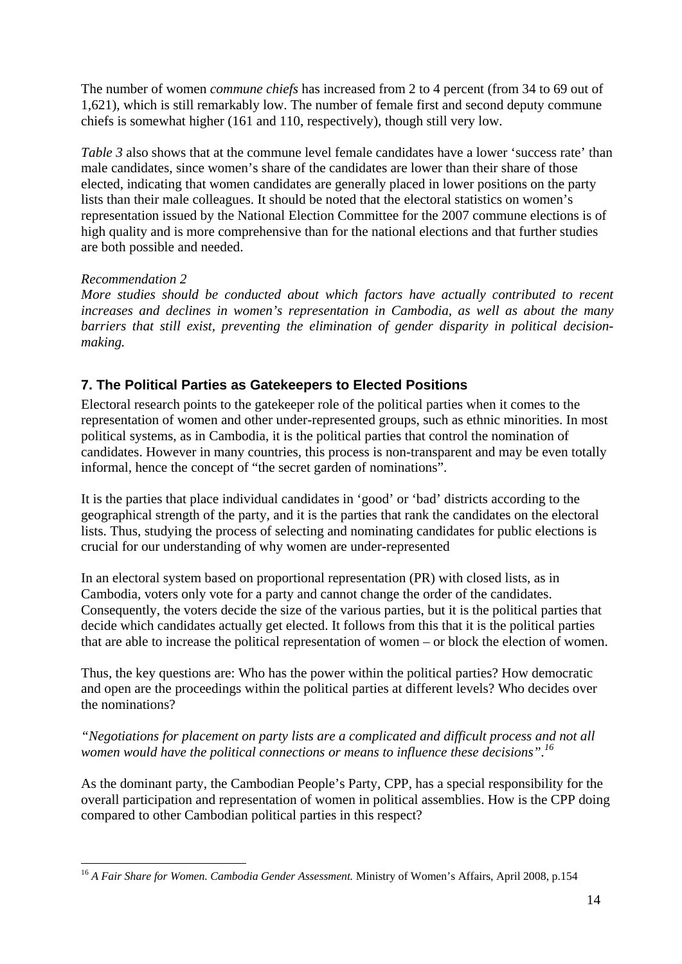The number of women *commune chiefs* has increased from 2 to 4 percent (from 34 to 69 out of 1,621), which is still remarkably low. The number of female first and second deputy commune chiefs is somewhat higher (161 and 110, respectively), though still very low.

*Table 3* also shows that at the commune level female candidates have a lower 'success rate' than male candidates, since women's share of the candidates are lower than their share of those elected, indicating that women candidates are generally placed in lower positions on the party lists than their male colleagues. It should be noted that the electoral statistics on women's representation issued by the National Election Committee for the 2007 commune elections is of high quality and is more comprehensive than for the national elections and that further studies are both possible and needed.

# *Recommendation 2*

*More studies should be conducted about which factors have actually contributed to recent increases and declines in women's representation in Cambodia, as well as about the many barriers that still exist, preventing the elimination of gender disparity in political decisionmaking.* 

# **7. The Political Parties as Gatekeepers to Elected Positions**

Electoral research points to the gatekeeper role of the political parties when it comes to the representation of women and other under-represented groups, such as ethnic minorities. In most political systems, as in Cambodia, it is the political parties that control the nomination of candidates. However in many countries, this process is non-transparent and may be even totally informal, hence the concept of "the secret garden of nominations".

It is the parties that place individual candidates in 'good' or 'bad' districts according to the geographical strength of the party, and it is the parties that rank the candidates on the electoral lists. Thus, studying the process of selecting and nominating candidates for public elections is crucial for our understanding of why women are under-represented

In an electoral system based on proportional representation (PR) with closed lists, as in Cambodia, voters only vote for a party and cannot change the order of the candidates. Consequently, the voters decide the size of the various parties, but it is the political parties that decide which candidates actually get elected. It follows from this that it is the political parties that are able to increase the political representation of women – or block the election of women.

Thus, the key questions are: Who has the power within the political parties? How democratic and open are the proceedings within the political parties at different levels? Who decides over the nominations?

*"Negotiations for placement on party lists are a complicated and difficult process and not all women would have the political connections or means to influence these decisions".16*

As the dominant party, the Cambodian People's Party, CPP, has a special responsibility for the overall participation and representation of women in political assemblies. How is the CPP doing compared to other Cambodian political parties in this respect?

<sup>1</sup> <sup>16</sup> A Fair Share for Women. Cambodia Gender Assessment. Ministry of Women's Affairs, April 2008, p.154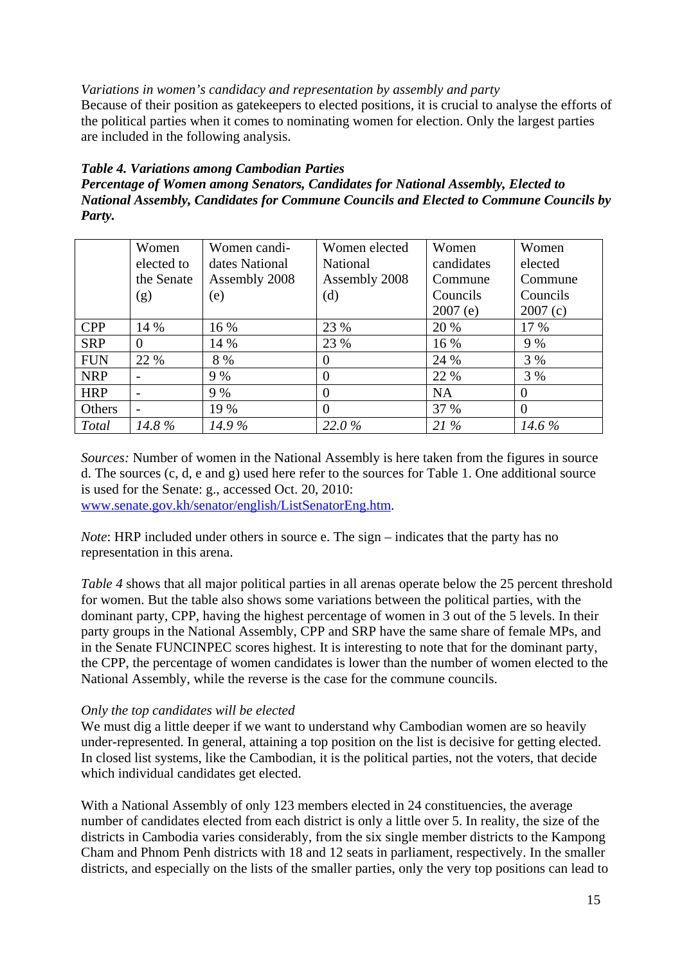### *Variations in women's candidacy and representation by assembly and party*

Because of their position as gatekeepers to elected positions, it is crucial to analyse the efforts of the political parties when it comes to nominating women for election. Only the largest parties are included in the following analysis.

### *Table 4. Variations among Cambodian Parties*

*Percentage of Women among Senators, Candidates for National Assembly, Elected to National Assembly, Candidates for Commune Councils and Elected to Commune Councils by Party.* 

|              | Women          | Women candi-   | Women elected | Women      | Women    |
|--------------|----------------|----------------|---------------|------------|----------|
|              | elected to     | dates National | National      | candidates | elected  |
|              | the Senate     | Assembly 2008  | Assembly 2008 | Commune    | Commune  |
|              | (g)            | (e)            | (d)           | Councils   | Councils |
|              |                |                |               | 2007(e)    | 2007(c)  |
| <b>CPP</b>   | 14 %           | 16 %           | 23 %          | 20 %       | 17 %     |
| <b>SRP</b>   | $\overline{0}$ | 14 %           | 23 %          | 16 %       | 9 %      |
| <b>FUN</b>   | 22 %           | 8 %            | $\theta$      | 24 %       | 3 %      |
| <b>NRP</b>   |                | 9 %            | $\theta$      | 22 %       | 3 %      |
| <b>HRP</b>   |                | 9 %            | $\Omega$      | <b>NA</b>  | $\theta$ |
| Others       | -              | 19 %           | $\Omega$      | 37 %       | $\Omega$ |
| <b>Total</b> | 14.8 %         | $14.9\%$       | 22.0%         | 21%        | 14.6%    |

*Sources:* Number of women in the National Assembly is here taken from the figures in source d. The sources (c, d, e and g) used here refer to the sources for Table 1. One additional source is used for the Senate: g., accessed Oct. 20, 2010: www.senate.gov.kh/senator/english/ListSenatorEng.htm.

*Note*: HRP included under others in source e. The sign – indicates that the party has no representation in this arena.

*Table 4* shows that all major political parties in all arenas operate below the 25 percent threshold for women. But the table also shows some variations between the political parties, with the dominant party, CPP, having the highest percentage of women in 3 out of the 5 levels. In their party groups in the National Assembly, CPP and SRP have the same share of female MPs, and in the Senate FUNCINPEC scores highest. It is interesting to note that for the dominant party, the CPP, the percentage of women candidates is lower than the number of women elected to the National Assembly, while the reverse is the case for the commune councils.

#### *Only the top candidates will be elected*

We must dig a little deeper if we want to understand why Cambodian women are so heavily under-represented. In general, attaining a top position on the list is decisive for getting elected. In closed list systems, like the Cambodian, it is the political parties, not the voters, that decide which individual candidates get elected.

With a National Assembly of only 123 members elected in 24 constituencies, the average number of candidates elected from each district is only a little over 5. In reality, the size of the districts in Cambodia varies considerably, from the six single member districts to the Kampong Cham and Phnom Penh districts with 18 and 12 seats in parliament, respectively. In the smaller districts, and especially on the lists of the smaller parties, only the very top positions can lead to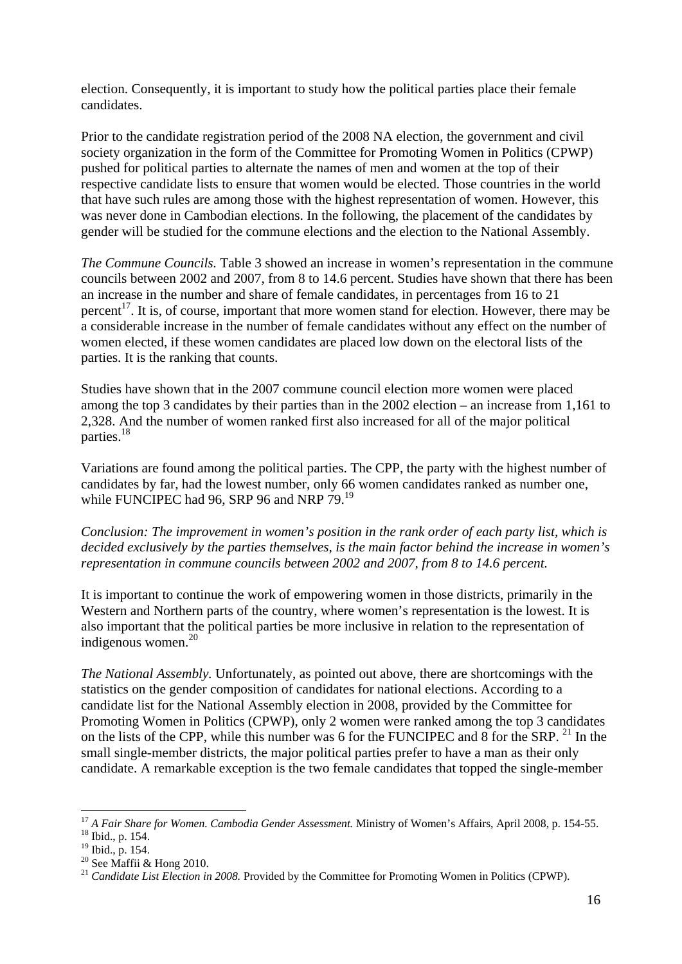election. Consequently, it is important to study how the political parties place their female candidates.

Prior to the candidate registration period of the 2008 NA election, the government and civil society organization in the form of the Committee for Promoting Women in Politics (CPWP) pushed for political parties to alternate the names of men and women at the top of their respective candidate lists to ensure that women would be elected. Those countries in the world that have such rules are among those with the highest representation of women. However, this was never done in Cambodian elections. In the following, the placement of the candidates by gender will be studied for the commune elections and the election to the National Assembly.

*The Commune Councils.* Table 3 showed an increase in women's representation in the commune councils between 2002 and 2007, from 8 to 14.6 percent. Studies have shown that there has been an increase in the number and share of female candidates, in percentages from 16 to 21 percent<sup>17</sup>. It is, of course, important that more women stand for election. However, there may be a considerable increase in the number of female candidates without any effect on the number of women elected, if these women candidates are placed low down on the electoral lists of the parties. It is the ranking that counts.

Studies have shown that in the 2007 commune council election more women were placed among the top 3 candidates by their parties than in the 2002 election – an increase from 1,161 to 2,328. And the number of women ranked first also increased for all of the major political parties.18

Variations are found among the political parties. The CPP, the party with the highest number of candidates by far, had the lowest number, only 66 women candidates ranked as number one, while FUNCIPEC had 96, SRP 96 and NRP 79.<sup>19</sup>

*Conclusion: The improvement in women's position in the rank order of each party list, which is decided exclusively by the parties themselves, is the main factor behind the increase in women's representation in commune councils between 2002 and 2007, from 8 to 14.6 percent.* 

It is important to continue the work of empowering women in those districts, primarily in the Western and Northern parts of the country, where women's representation is the lowest. It is also important that the political parties be more inclusive in relation to the representation of indigenous women.<sup>20</sup>

*The National Assembly.* Unfortunately, as pointed out above, there are shortcomings with the statistics on the gender composition of candidates for national elections. According to a candidate list for the National Assembly election in 2008, provided by the Committee for Promoting Women in Politics (CPWP), only 2 women were ranked among the top 3 candidates on the lists of the CPP, while this number was 6 for the FUNCIPEC and 8 for the SRP.<sup>21</sup> In the small single-member districts, the major political parties prefer to have a man as their only candidate. A remarkable exception is the two female candidates that topped the single-member

<sup>1</sup> <sup>17</sup> *A Fair Share for Women. Cambodia Gender Assessment.* Ministry of Women's Affairs, April 2008, p. 154-55. <sup>18</sup> Ibid., p. 154.

 $^{18}_{19}$  Ibid., p. 154.<br> $^{19}_{19}$  Ibid., p. 154.

<sup>20</sup> See Maffii & Hong 2010.

<sup>&</sup>lt;sup>21</sup> *Candidate List Election in 2008*. Provided by the Committee for Promoting Women in Politics (CPWP).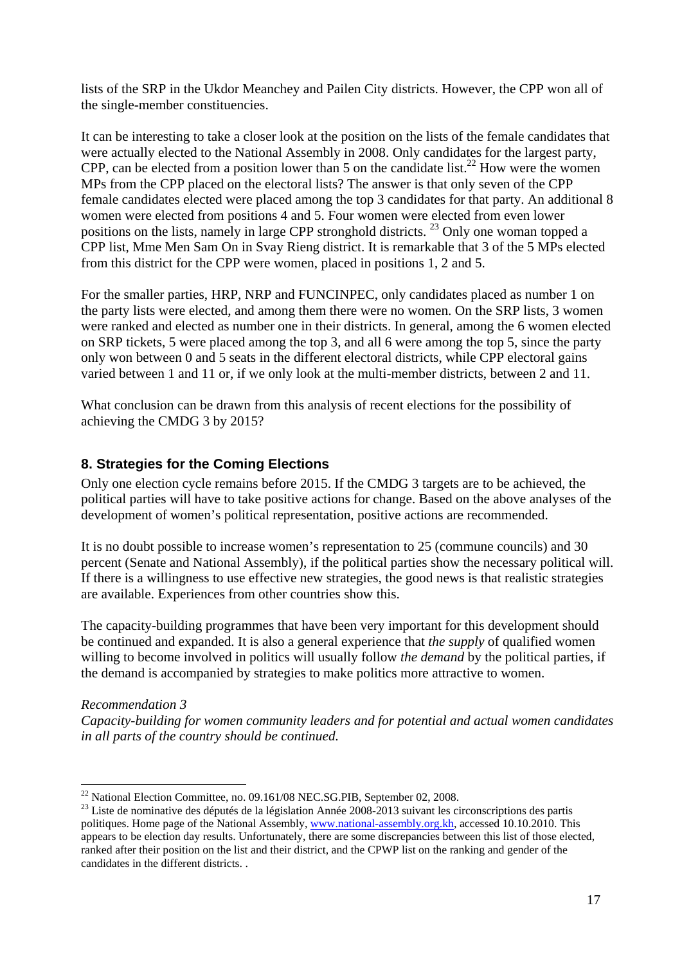lists of the SRP in the Ukdor Meanchey and Pailen City districts. However, the CPP won all of the single-member constituencies.

It can be interesting to take a closer look at the position on the lists of the female candidates that were actually elected to the National Assembly in 2008. Only candidates for the largest party, CPP, can be elected from a position lower than 5 on the candidate list.<sup>22</sup> How were the women MPs from the CPP placed on the electoral lists? The answer is that only seven of the CPP female candidates elected were placed among the top 3 candidates for that party. An additional 8 women were elected from positions 4 and 5. Four women were elected from even lower positions on the lists, namely in large CPP stronghold districts.<sup>23</sup> Only one woman topped a CPP list, Mme Men Sam On in Svay Rieng district. It is remarkable that 3 of the 5 MPs elected from this district for the CPP were women, placed in positions 1, 2 and 5.

For the smaller parties, HRP, NRP and FUNCINPEC, only candidates placed as number 1 on the party lists were elected, and among them there were no women. On the SRP lists, 3 women were ranked and elected as number one in their districts. In general, among the 6 women elected on SRP tickets, 5 were placed among the top 3, and all 6 were among the top 5, since the party only won between 0 and 5 seats in the different electoral districts, while CPP electoral gains varied between 1 and 11 or, if we only look at the multi-member districts, between 2 and 11.

What conclusion can be drawn from this analysis of recent elections for the possibility of achieving the CMDG 3 by 2015?

# **8. Strategies for the Coming Elections**

Only one election cycle remains before 2015. If the CMDG 3 targets are to be achieved*,* the political parties will have to take positive actions for change. Based on the above analyses of the development of women's political representation, positive actions are recommended.

It is no doubt possible to increase women's representation to 25 (commune councils) and 30 percent (Senate and National Assembly), if the political parties show the necessary political will. If there is a willingness to use effective new strategies, the good news is that realistic strategies are available. Experiences from other countries show this.

The capacity-building programmes that have been very important for this development should be continued and expanded. It is also a general experience that *the supply* of qualified women willing to become involved in politics will usually follow *the demand* by the political parties, if the demand is accompanied by strategies to make politics more attractive to women.

# *Recommendation 3*

*Capacity-building for women community leaders and for potential and actual women candidates in all parts of the country should be continued.*

<sup>1</sup>  $^{22}$  National Election Committee, no. 09.161/08 NEC.SG.PIB, September 02, 2008.

<sup>&</sup>lt;sup>23</sup> Liste de nominative des députés de la législation Année 2008-2013 suivant les circonscriptions des partis politiques. Home page of the National Assembly, www.national-assembly.org.kh, accessed 10.10.2010. This appears to be election day results. Unfortunately, there are some discrepancies between this list of those elected, ranked after their position on the list and their district, and the CPWP list on the ranking and gender of the candidates in the different districts. .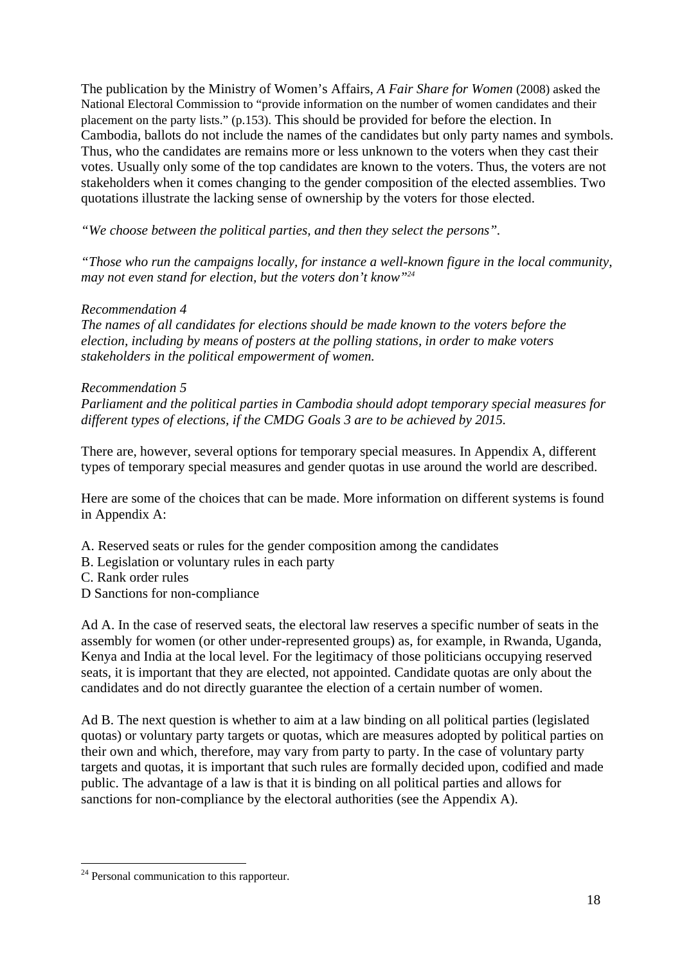The publication by the Ministry of Women's Affairs, *A Fair Share for Women* (2008) asked the National Electoral Commission to "provide information on the number of women candidates and their placement on the party lists." (p.153). This should be provided for before the election. In Cambodia, ballots do not include the names of the candidates but only party names and symbols. Thus, who the candidates are remains more or less unknown to the voters when they cast their votes. Usually only some of the top candidates are known to the voters. Thus, the voters are not stakeholders when it comes changing to the gender composition of the elected assemblies. Two quotations illustrate the lacking sense of ownership by the voters for those elected.

*"We choose between the political parties, and then they select the persons".* 

*"Those who run the campaigns locally, for instance a well-known figure in the local community, may not even stand for election, but the voters don't know"24*

### *Recommendation 4*

*The names of all candidates for elections should be made known to the voters before the election, including by means of posters at the polling stations, in order to make voters stakeholders in the political empowerment of women.* 

### *Recommendation 5*

*Parliament and the political parties in Cambodia should adopt temporary special measures for different types of elections, if the CMDG Goals 3 are to be achieved by 2015.* 

There are, however, several options for temporary special measures. In Appendix A, different types of temporary special measures and gender quotas in use around the world are described.

Here are some of the choices that can be made. More information on different systems is found in Appendix A:

- A. Reserved seats or rules for the gender composition among the candidates
- B. Legislation or voluntary rules in each party
- C. Rank order rules
- D Sanctions for non-compliance

Ad A. In the case of reserved seats, the electoral law reserves a specific number of seats in the assembly for women (or other under-represented groups) as, for example, in Rwanda, Uganda, Kenya and India at the local level. For the legitimacy of those politicians occupying reserved seats, it is important that they are elected, not appointed. Candidate quotas are only about the candidates and do not directly guarantee the election of a certain number of women.

Ad B. The next question is whether to aim at a law binding on all political parties (legislated quotas) or voluntary party targets or quotas, which are measures adopted by political parties on their own and which, therefore, may vary from party to party. In the case of voluntary party targets and quotas, it is important that such rules are formally decided upon, codified and made public. The advantage of a law is that it is binding on all political parties and allows for sanctions for non-compliance by the electoral authorities (see the Appendix A).

1

 $24$  Personal communication to this rapporteur.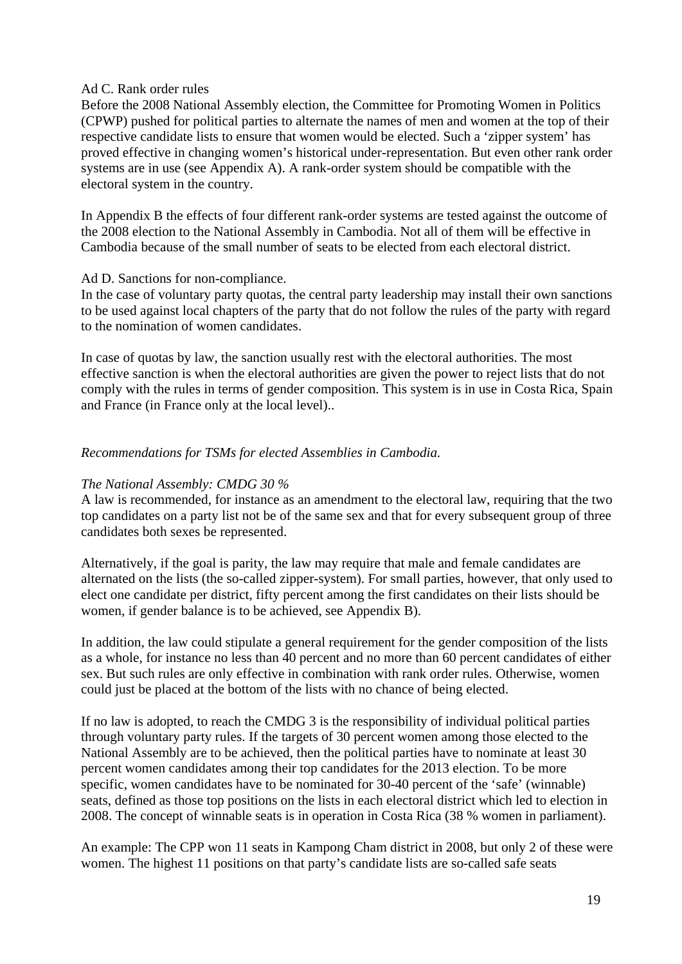### Ad C. Rank order rules

Before the 2008 National Assembly election, the Committee for Promoting Women in Politics (CPWP) pushed for political parties to alternate the names of men and women at the top of their respective candidate lists to ensure that women would be elected. Such a 'zipper system' has proved effective in changing women's historical under-representation. But even other rank order systems are in use (see Appendix A). A rank-order system should be compatible with the electoral system in the country.

In Appendix B the effects of four different rank-order systems are tested against the outcome of the 2008 election to the National Assembly in Cambodia. Not all of them will be effective in Cambodia because of the small number of seats to be elected from each electoral district.

#### Ad D. Sanctions for non-compliance.

In the case of voluntary party quotas, the central party leadership may install their own sanctions to be used against local chapters of the party that do not follow the rules of the party with regard to the nomination of women candidates.

In case of quotas by law, the sanction usually rest with the electoral authorities. The most effective sanction is when the electoral authorities are given the power to reject lists that do not comply with the rules in terms of gender composition. This system is in use in Costa Rica, Spain and France (in France only at the local level)..

# *Recommendations for TSMs for elected Assemblies in Cambodia.*

### *The National Assembly: CMDG 30 %*

A law is recommended, for instance as an amendment to the electoral law, requiring that the two top candidates on a party list not be of the same sex and that for every subsequent group of three candidates both sexes be represented.

Alternatively, if the goal is parity, the law may require that male and female candidates are alternated on the lists (the so-called zipper-system). For small parties, however, that only used to elect one candidate per district, fifty percent among the first candidates on their lists should be women, if gender balance is to be achieved, see Appendix B).

In addition, the law could stipulate a general requirement for the gender composition of the lists as a whole, for instance no less than 40 percent and no more than 60 percent candidates of either sex. But such rules are only effective in combination with rank order rules. Otherwise, women could just be placed at the bottom of the lists with no chance of being elected.

If no law is adopted, to reach the CMDG 3 is the responsibility of individual political parties through voluntary party rules. If the targets of 30 percent women among those elected to the National Assembly are to be achieved, then the political parties have to nominate at least 30 percent women candidates among their top candidates for the 2013 election. To be more specific, women candidates have to be nominated for 30-40 percent of the 'safe' (winnable) seats, defined as those top positions on the lists in each electoral district which led to election in 2008. The concept of winnable seats is in operation in Costa Rica (38 % women in parliament).

An example: The CPP won 11 seats in Kampong Cham district in 2008, but only 2 of these were women. The highest 11 positions on that party's candidate lists are so-called safe seats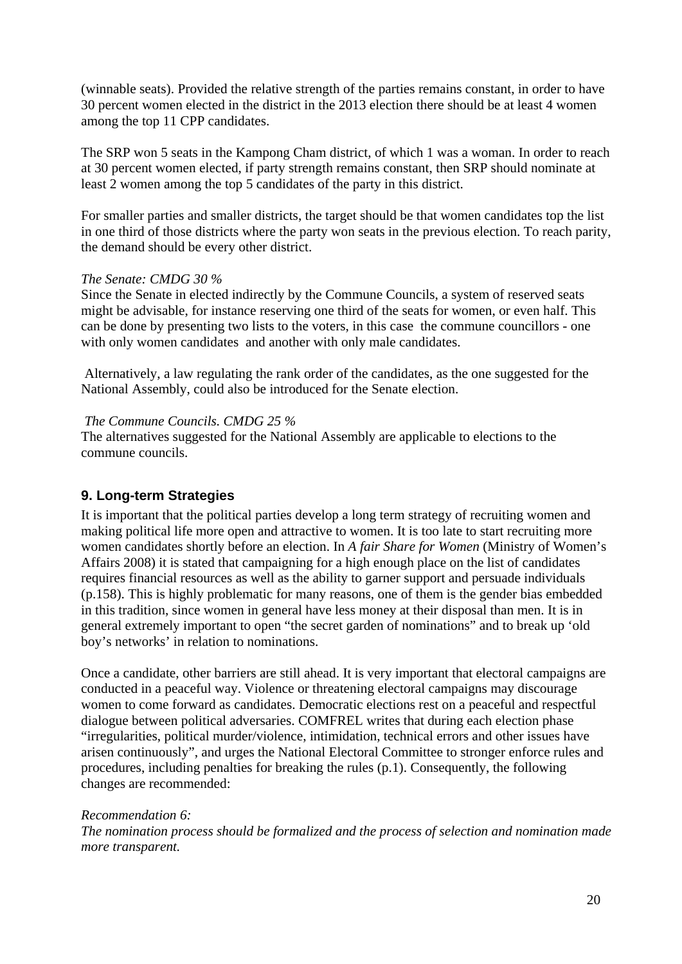(winnable seats). Provided the relative strength of the parties remains constant, in order to have 30 percent women elected in the district in the 2013 election there should be at least 4 women among the top 11 CPP candidates.

The SRP won 5 seats in the Kampong Cham district, of which 1 was a woman. In order to reach at 30 percent women elected, if party strength remains constant, then SRP should nominate at least 2 women among the top 5 candidates of the party in this district.

For smaller parties and smaller districts, the target should be that women candidates top the list in one third of those districts where the party won seats in the previous election. To reach parity, the demand should be every other district.

### *The Senate: CMDG 30 %*

Since the Senate in elected indirectly by the Commune Councils, a system of reserved seats might be advisable, for instance reserving one third of the seats for women, or even half. This can be done by presenting two lists to the voters, in this case the commune councillors - one with only women candidates and another with only male candidates.

 Alternatively, a law regulating the rank order of the candidates, as the one suggested for the National Assembly, could also be introduced for the Senate election.

### *The Commune Councils. CMDG 25 %*

The alternatives suggested for the National Assembly are applicable to elections to the commune councils.

# **9. Long-term Strategies**

It is important that the political parties develop a long term strategy of recruiting women and making political life more open and attractive to women. It is too late to start recruiting more women candidates shortly before an election. In *A fair Share for Women* (Ministry of Women's Affairs 2008) it is stated that campaigning for a high enough place on the list of candidates requires financial resources as well as the ability to garner support and persuade individuals (p.158). This is highly problematic for many reasons, one of them is the gender bias embedded in this tradition, since women in general have less money at their disposal than men. It is in general extremely important to open "the secret garden of nominations" and to break up 'old boy's networks' in relation to nominations.

Once a candidate, other barriers are still ahead. It is very important that electoral campaigns are conducted in a peaceful way. Violence or threatening electoral campaigns may discourage women to come forward as candidates. Democratic elections rest on a peaceful and respectful dialogue between political adversaries. COMFREL writes that during each election phase "irregularities, political murder/violence, intimidation, technical errors and other issues have arisen continuously", and urges the National Electoral Committee to stronger enforce rules and procedures, including penalties for breaking the rules (p.1). Consequently, the following changes are recommended:

# *Recommendation 6:*

*The nomination process should be formalized and the process of selection and nomination made more transparent.*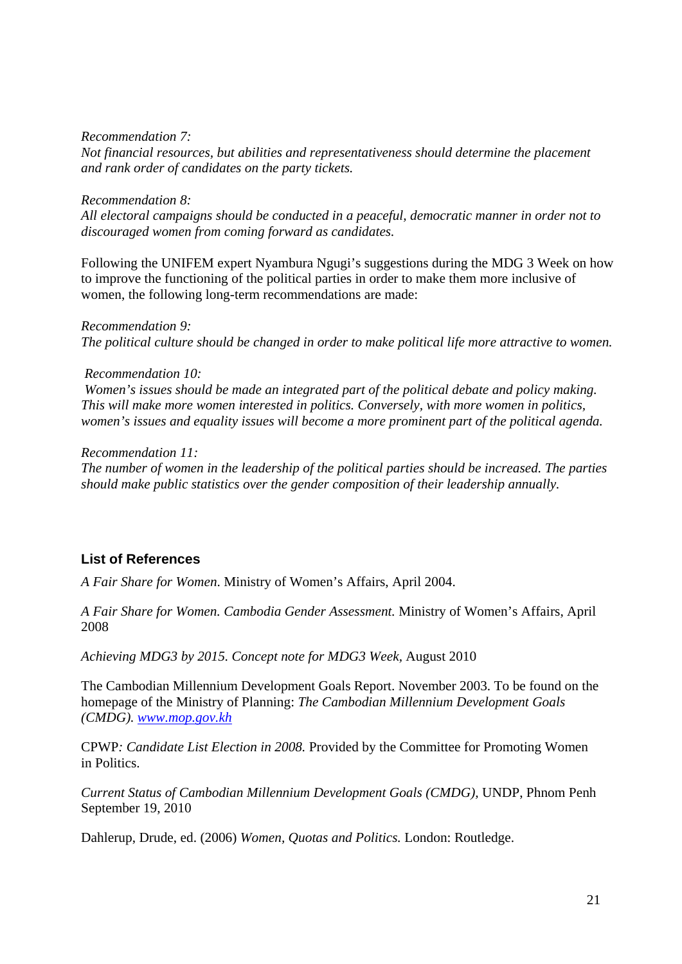#### *Recommendation 7:*

*Not financial resources, but abilities and representativeness should determine the placement and rank order of candidates on the party tickets.* 

#### *Recommendation 8:*

*All electoral campaigns should be conducted in a peaceful, democratic manner in order not to discouraged women from coming forward as candidates.* 

Following the UNIFEM expert Nyambura Ngugi's suggestions during the MDG 3 Week on how to improve the functioning of the political parties in order to make them more inclusive of women, the following long-term recommendations are made:

*Recommendation 9: The political culture should be changed in order to make political life more attractive to women.* 

#### *Recommendation 10:*

 *Women's issues should be made an integrated part of the political debate and policy making. This will make more women interested in politics. Conversely, with more women in politics, women's issues and equality issues will become a more prominent part of the political agenda.* 

*Recommendation 11:* 

*The number of women in the leadership of the political parties should be increased. The parties should make public statistics over the gender composition of their leadership annually.* 

# **List of References**

*A Fair Share for Women*. Ministry of Women's Affairs, April 2004.

*A Fair Share for Women. Cambodia Gender Assessment.* Ministry of Women's Affairs, April 2008

*Achieving MDG3 by 2015. Concept note for MDG3 Week,* August 2010

The Cambodian Millennium Development Goals Report. November 2003. To be found on the homepage of the Ministry of Planning: *The Cambodian Millennium Development Goals (CMDG). www.mop.gov.kh*

CPWP*: Candidate List Election in 2008.* Provided by the Committee for Promoting Women in Politics.

*Current Status of Cambodian Millennium Development Goals (CMDG),* UNDP, Phnom Penh September 19, 2010

Dahlerup, Drude, ed. (2006) *Women, Quotas and Politics.* London: Routledge.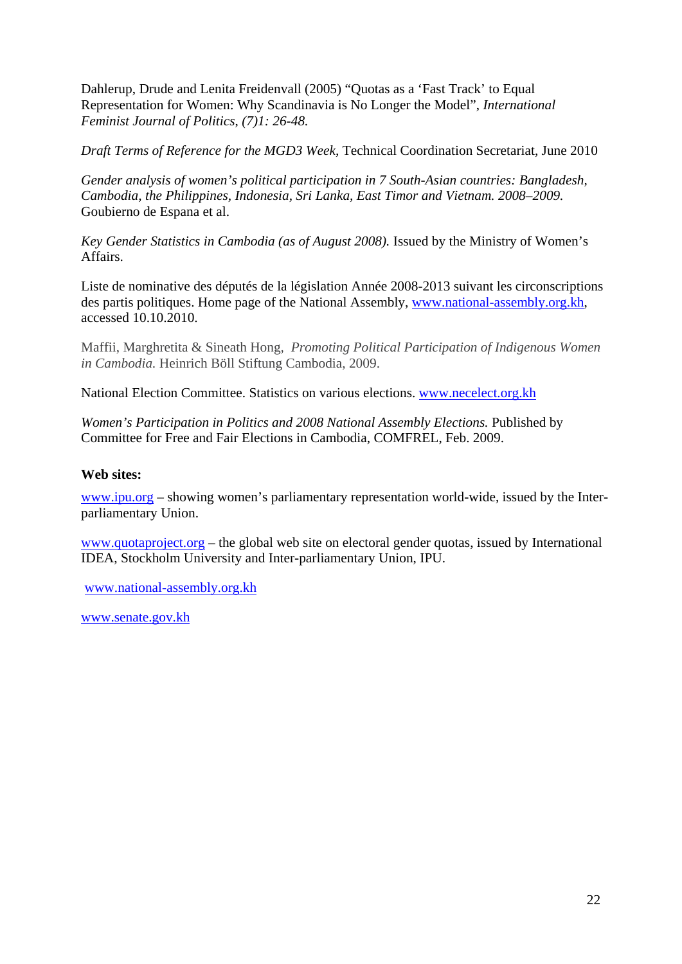Dahlerup, Drude and Lenita Freidenvall (2005) "Quotas as a 'Fast Track' to Equal Representation for Women: Why Scandinavia is No Longer the Model", *International Feminist Journal of Politics*, *(7)1: 26-48.*

*Draft Terms of Reference for the MGD3 Week,* Technical Coordination Secretariat, June 2010

*Gender analysis of women's political participation in 7 South-Asian countries: Bangladesh, Cambodia, the Philippines, Indonesia, Sri Lanka, East Timor and Vietnam. 2008–2009.*  Goubierno de Espana et al.

*Key Gender Statistics in Cambodia (as of August 2008).* Issued by the Ministry of Women's Affairs.

Liste de nominative des députés de la législation Année 2008-2013 suivant les circonscriptions des partis politiques. Home page of the National Assembly, www.national-assembly.org.kh, accessed 10.10.2010.

Maffii, Marghretita & Sineath Hong*, Promoting Political Participation of Indigenous Women in Cambodia.* Heinrich Böll Stiftung Cambodia, 2009.

National Election Committee. Statistics on various elections. www.necelect.org.kh

*Women's Participation in Politics and 2008 National Assembly Elections. Published by* Committee for Free and Fair Elections in Cambodia, COMFREL, Feb. 2009.

# **Web sites:**

www.ipu.org – showing women's parliamentary representation world-wide, issued by the Interparliamentary Union.

www.quotaproject.org – the global web site on electoral gender quotas, issued by International IDEA, Stockholm University and Inter-parliamentary Union, IPU.

www.national-assembly.org.kh

www.senate.gov.kh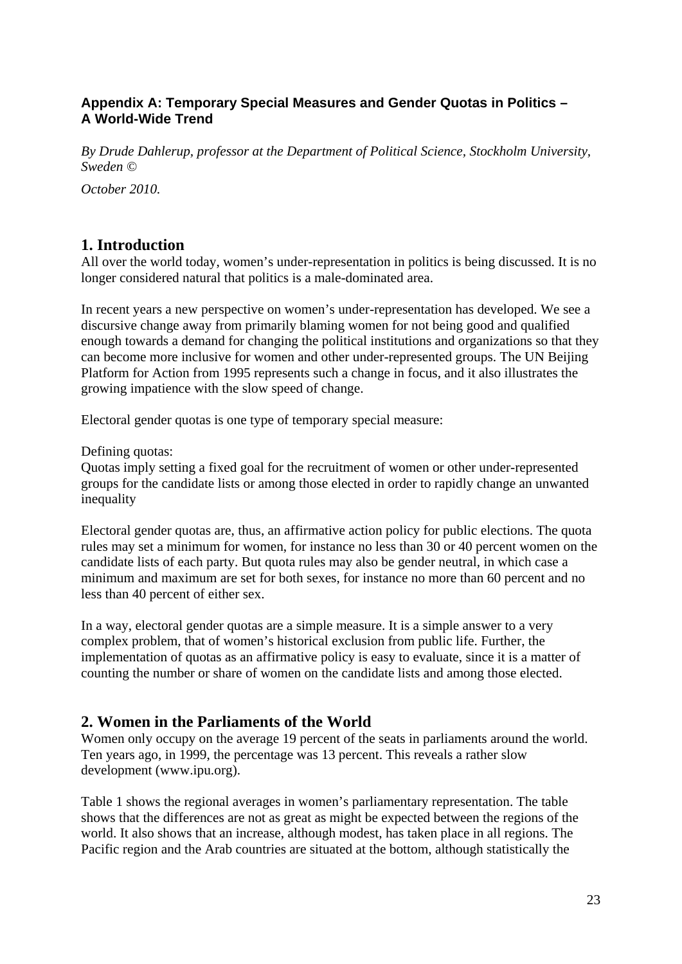# **Appendix A: Temporary Special Measures and Gender Quotas in Politics – A World-Wide Trend**

*By Drude Dahlerup, professor at the Department of Political Science, Stockholm University, Sweden ©* 

*October 2010.* 

# **1. Introduction**

All over the world today, women's under-representation in politics is being discussed. It is no longer considered natural that politics is a male-dominated area.

In recent years a new perspective on women's under-representation has developed. We see a discursive change away from primarily blaming women for not being good and qualified enough towards a demand for changing the political institutions and organizations so that they can become more inclusive for women and other under-represented groups. The UN Beijing Platform for Action from 1995 represents such a change in focus, and it also illustrates the growing impatience with the slow speed of change.

Electoral gender quotas is one type of temporary special measure:

Defining quotas:

Quotas imply setting a fixed goal for the recruitment of women or other under-represented groups for the candidate lists or among those elected in order to rapidly change an unwanted inequality

Electoral gender quotas are, thus, an affirmative action policy for public elections. The quota rules may set a minimum for women, for instance no less than 30 or 40 percent women on the candidate lists of each party. But quota rules may also be gender neutral, in which case a minimum and maximum are set for both sexes, for instance no more than 60 percent and no less than 40 percent of either sex.

In a way, electoral gender quotas are a simple measure. It is a simple answer to a very complex problem, that of women's historical exclusion from public life. Further, the implementation of quotas as an affirmative policy is easy to evaluate, since it is a matter of counting the number or share of women on the candidate lists and among those elected.

# **2. Women in the Parliaments of the World**

Women only occupy on the average 19 percent of the seats in parliaments around the world. Ten years ago, in 1999, the percentage was 13 percent. This reveals a rather slow development (www.ipu.org).

Table 1 shows the regional averages in women's parliamentary representation. The table shows that the differences are not as great as might be expected between the regions of the world. It also shows that an increase, although modest, has taken place in all regions. The Pacific region and the Arab countries are situated at the bottom, although statistically the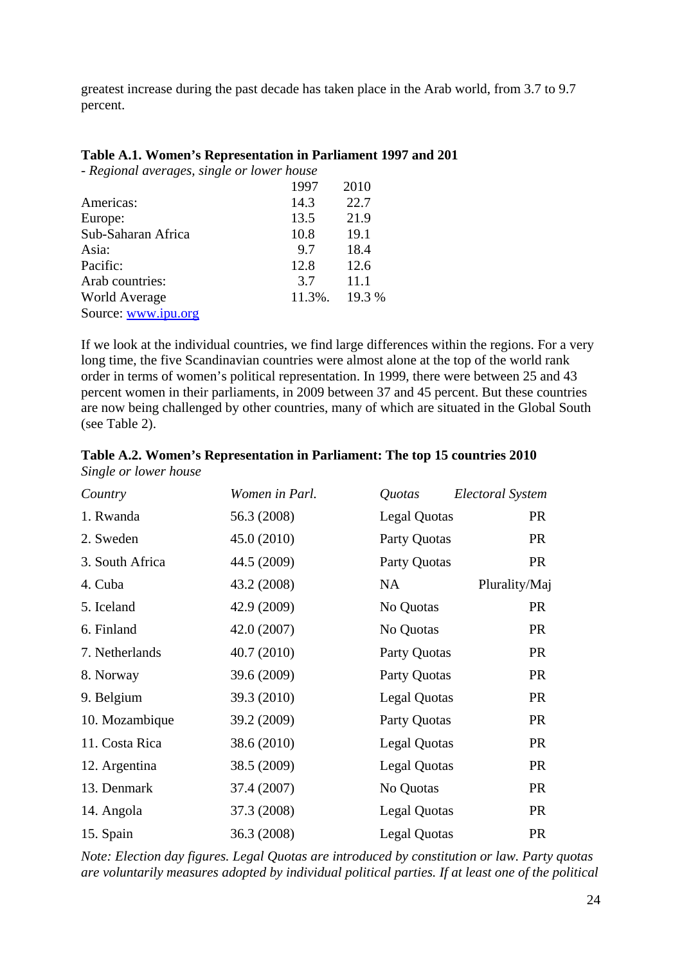greatest increase during the past decade has taken place in the Arab world, from 3.7 to 9.7 percent.

### **Table A.1. Women's Representation in Parliament 1997 and 201**

*- Regional averages, single or lower house* 

|                      | 1997   | 2010   |
|----------------------|--------|--------|
| Americas:            | 14.3   | 22.7   |
| Europe:              | 13.5   | 21.9   |
| Sub-Saharan Africa   | 10.8   | 19.1   |
| Asia:                | 9.7    | 18.4   |
| Pacific:             | 12.8   | 12.6   |
| Arab countries:      | 3.7    | 11.1   |
| <b>World Average</b> | 11.3%. | 19.3 % |
| Source: www.ipu.org  |        |        |

If we look at the individual countries, we find large differences within the regions. For a very long time, the five Scandinavian countries were almost alone at the top of the world rank order in terms of women's political representation. In 1999, there were between 25 and 43 percent women in their parliaments, in 2009 between 37 and 45 percent. But these countries are now being challenged by other countries, many of which are situated in the Global South (see Table 2).

| Country         | Women in Parl. | Quotas              | Electoral System |
|-----------------|----------------|---------------------|------------------|
| 1. Rwanda       | 56.3 (2008)    | <b>Legal Quotas</b> | <b>PR</b>        |
| 2. Sweden       | 45.0 (2010)    | Party Quotas        | <b>PR</b>        |
| 3. South Africa | 44.5 (2009)    | Party Quotas        | <b>PR</b>        |
| 4. Cuba         | 43.2 (2008)    | NA                  | Plurality/Maj    |
| 5. Iceland      | 42.9 (2009)    | No Quotas           | <b>PR</b>        |
| 6. Finland      | 42.0 (2007)    | No Quotas           | <b>PR</b>        |
| 7. Netherlands  | 40.7 (2010)    | Party Quotas        | <b>PR</b>        |
| 8. Norway       | 39.6 (2009)    | Party Quotas        | <b>PR</b>        |
| 9. Belgium      | 39.3 (2010)    | <b>Legal Quotas</b> | <b>PR</b>        |
| 10. Mozambique  | 39.2 (2009)    | Party Quotas        | <b>PR</b>        |
| 11. Costa Rica  | 38.6 (2010)    | <b>Legal Quotas</b> | <b>PR</b>        |
| 12. Argentina   | 38.5 (2009)    | <b>Legal Quotas</b> | <b>PR</b>        |
| 13. Denmark     | 37.4 (2007)    | No Quotas           | <b>PR</b>        |
| 14. Angola      | 37.3 (2008)    | <b>Legal Quotas</b> | <b>PR</b>        |
| 15. Spain       | 36.3 (2008)    | <b>Legal Quotas</b> | <b>PR</b>        |

| Table A.2. Women's Representation in Parliament: The top 15 countries 2010 |  |
|----------------------------------------------------------------------------|--|
| Single or lower house                                                      |  |

*Note: Election day figures. Legal Quotas are introduced by constitution or law. Party quotas are voluntarily measures adopted by individual political parties. If at least one of the political*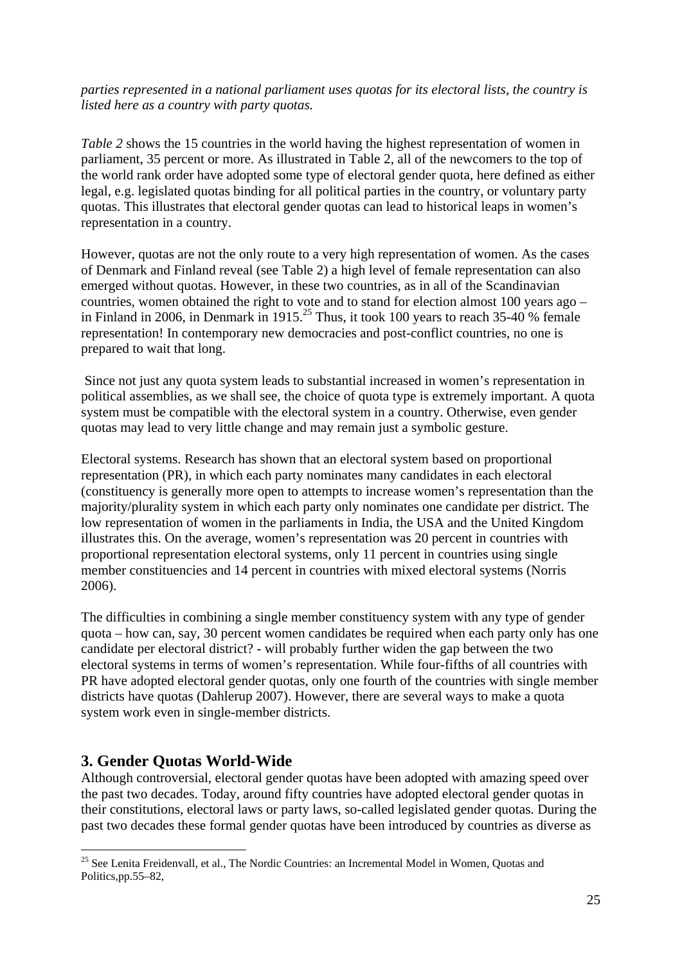# *parties represented in a national parliament uses quotas for its electoral lists, the country is listed here as a country with party quotas.*

*Table 2* shows the 15 countries in the world having the highest representation of women in parliament, 35 percent or more. As illustrated in Table 2, all of the newcomers to the top of the world rank order have adopted some type of electoral gender quota, here defined as either legal, e.g. legislated quotas binding for all political parties in the country, or voluntary party quotas. This illustrates that electoral gender quotas can lead to historical leaps in women's representation in a country.

However, quotas are not the only route to a very high representation of women. As the cases of Denmark and Finland reveal (see Table 2) a high level of female representation can also emerged without quotas. However, in these two countries, as in all of the Scandinavian countries, women obtained the right to vote and to stand for election almost 100 years ago – in Finland in 2006, in Denmark in  $1915<sup>25</sup>$  Thus, it took 100 years to reach 35-40 % female representation! In contemporary new democracies and post-conflict countries, no one is prepared to wait that long.

 Since not just any quota system leads to substantial increased in women's representation in political assemblies, as we shall see, the choice of quota type is extremely important. A quota system must be compatible with the electoral system in a country. Otherwise, even gender quotas may lead to very little change and may remain just a symbolic gesture.

Electoral systems. Research has shown that an electoral system based on proportional representation (PR), in which each party nominates many candidates in each electoral (constituency is generally more open to attempts to increase women's representation than the majority/plurality system in which each party only nominates one candidate per district. The low representation of women in the parliaments in India, the USA and the United Kingdom illustrates this. On the average, women's representation was 20 percent in countries with proportional representation electoral systems, only 11 percent in countries using single member constituencies and 14 percent in countries with mixed electoral systems (Norris 2006).

The difficulties in combining a single member constituency system with any type of gender quota – how can, say, 30 percent women candidates be required when each party only has one candidate per electoral district? - will probably further widen the gap between the two electoral systems in terms of women's representation. While four-fifths of all countries with PR have adopted electoral gender quotas, only one fourth of the countries with single member districts have quotas (Dahlerup 2007). However, there are several ways to make a quota system work even in single-member districts.

# **3. Gender Quotas World-Wide**

1

Although controversial, electoral gender quotas have been adopted with amazing speed over the past two decades. Today, around fifty countries have adopted electoral gender quotas in their constitutions, electoral laws or party laws, so-called legislated gender quotas. During the past two decades these formal gender quotas have been introduced by countries as diverse as

<sup>&</sup>lt;sup>25</sup> See Lenita Freidenvall, et al., The Nordic Countries: an Incremental Model in Women, Quotas and Politics.pp.55–82.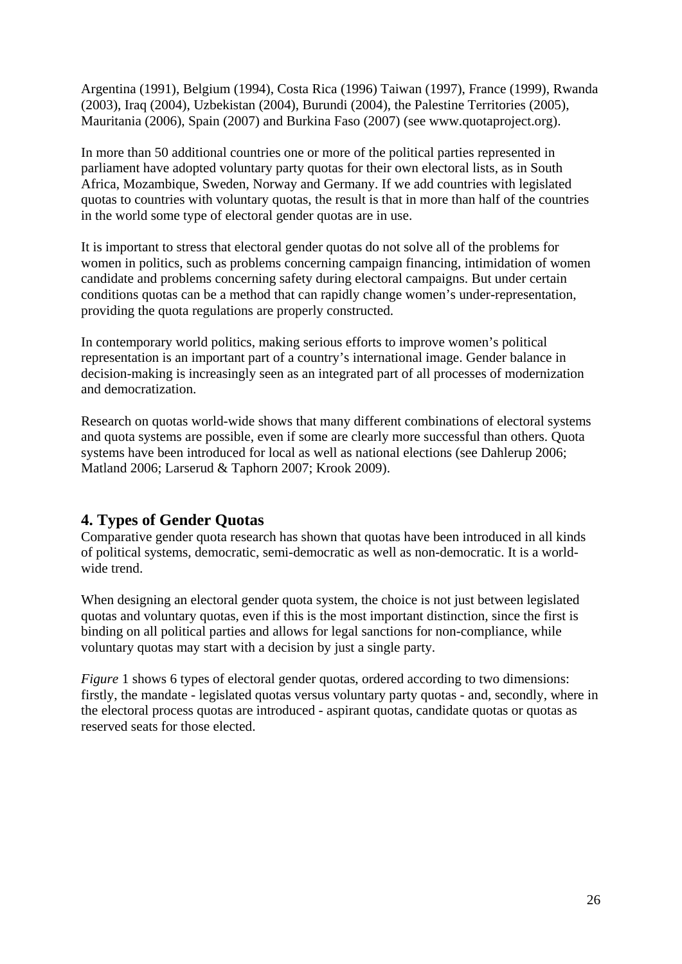Argentina (1991), Belgium (1994), Costa Rica (1996) Taiwan (1997), France (1999), Rwanda (2003), Iraq (2004), Uzbekistan (2004), Burundi (2004), the Palestine Territories (2005), Mauritania (2006), Spain (2007) and Burkina Faso (2007) (see www.quotaproject.org).

In more than 50 additional countries one or more of the political parties represented in parliament have adopted voluntary party quotas for their own electoral lists, as in South Africa, Mozambique, Sweden, Norway and Germany. If we add countries with legislated quotas to countries with voluntary quotas, the result is that in more than half of the countries in the world some type of electoral gender quotas are in use.

It is important to stress that electoral gender quotas do not solve all of the problems for women in politics, such as problems concerning campaign financing, intimidation of women candidate and problems concerning safety during electoral campaigns. But under certain conditions quotas can be a method that can rapidly change women's under-representation, providing the quota regulations are properly constructed.

In contemporary world politics, making serious efforts to improve women's political representation is an important part of a country's international image. Gender balance in decision-making is increasingly seen as an integrated part of all processes of modernization and democratization.

Research on quotas world-wide shows that many different combinations of electoral systems and quota systems are possible, even if some are clearly more successful than others. Quota systems have been introduced for local as well as national elections (see Dahlerup 2006; Matland 2006; Larserud & Taphorn 2007; Krook 2009).

# **4. Types of Gender Quotas**

Comparative gender quota research has shown that quotas have been introduced in all kinds of political systems, democratic, semi-democratic as well as non-democratic. It is a worldwide trend.

When designing an electoral gender quota system, the choice is not just between legislated quotas and voluntary quotas, even if this is the most important distinction, since the first is binding on all political parties and allows for legal sanctions for non-compliance, while voluntary quotas may start with a decision by just a single party.

*Figure* 1 shows 6 types of electoral gender quotas, ordered according to two dimensions: firstly, the mandate - legislated quotas versus voluntary party quotas - and, secondly, where in the electoral process quotas are introduced - aspirant quotas, candidate quotas or quotas as reserved seats for those elected.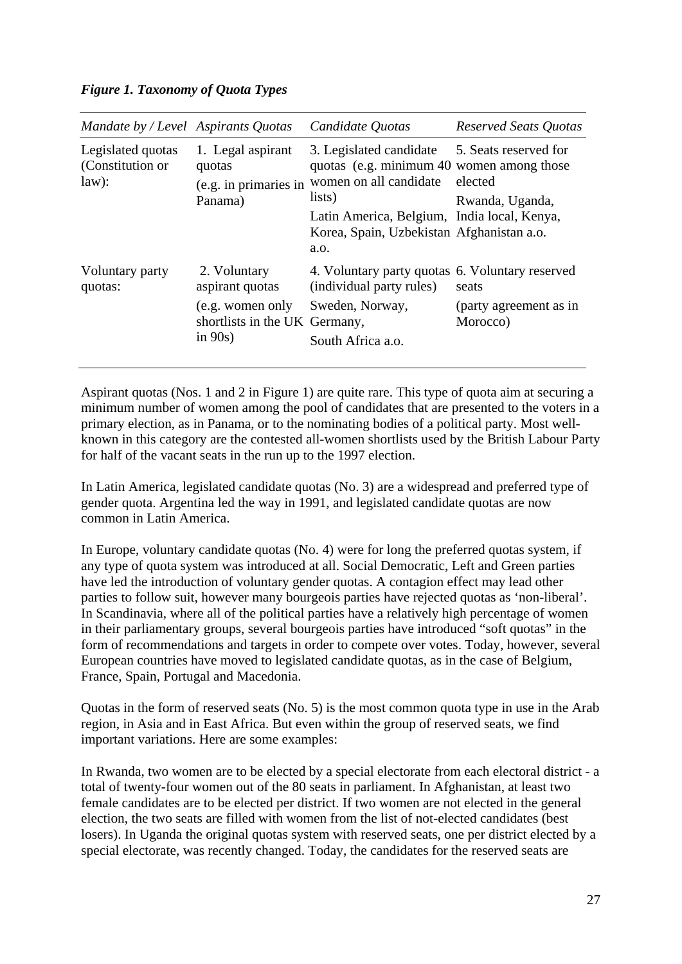### *Figure 1. Taxonomy of Quota Types*

| Mandate by / Level Aspirants Quotas            |                                                                                                    | Candidate Quotas                                                                                                                                                                                                                   | <b>Reserved Seats Quotas</b>                |
|------------------------------------------------|----------------------------------------------------------------------------------------------------|------------------------------------------------------------------------------------------------------------------------------------------------------------------------------------------------------------------------------------|---------------------------------------------|
| Legislated quotas<br>(Constitution or<br>law): | 1. Legal aspirant<br>quotas<br>(e.g. in primaries in<br>Panama)                                    | 3. Legislated candidate 5. Seats reserved for<br>quotas (e.g. minimum 40 women among those<br>women on all candidate<br>lists)<br>Latin America, Belgium, India local, Kenya,<br>Korea, Spain, Uzbekistan Afghanistan a.o.<br>a.o. | elected<br>Rwanda, Uganda,                  |
| Voluntary party<br>quotas:                     | 2. Voluntary<br>aspirant quotas<br>(e.g. women only<br>shortlists in the UK Germany,<br>in $90s$ ) | 4. Voluntary party quotas 6. Voluntary reserved<br>(individual party rules)<br>Sweden, Norway,<br>South Africa a.o.                                                                                                                | seats<br>(party agreement as in<br>Morocco) |

Aspirant quotas (Nos. 1 and 2 in Figure 1) are quite rare. This type of quota aim at securing a minimum number of women among the pool of candidates that are presented to the voters in a primary election, as in Panama, or to the nominating bodies of a political party. Most wellknown in this category are the contested all-women shortlists used by the British Labour Party for half of the vacant seats in the run up to the 1997 election.

In Latin America, legislated candidate quotas (No. 3) are a widespread and preferred type of gender quota. Argentina led the way in 1991, and legislated candidate quotas are now common in Latin America.

In Europe, voluntary candidate quotas (No. 4) were for long the preferred quotas system, if any type of quota system was introduced at all. Social Democratic, Left and Green parties have led the introduction of voluntary gender quotas. A contagion effect may lead other parties to follow suit, however many bourgeois parties have rejected quotas as 'non-liberal'. In Scandinavia, where all of the political parties have a relatively high percentage of women in their parliamentary groups, several bourgeois parties have introduced "soft quotas" in the form of recommendations and targets in order to compete over votes. Today, however, several European countries have moved to legislated candidate quotas, as in the case of Belgium, France, Spain, Portugal and Macedonia.

Quotas in the form of reserved seats (No. 5) is the most common quota type in use in the Arab region, in Asia and in East Africa. But even within the group of reserved seats, we find important variations. Here are some examples:

In Rwanda, two women are to be elected by a special electorate from each electoral district - a total of twenty-four women out of the 80 seats in parliament. In Afghanistan, at least two female candidates are to be elected per district. If two women are not elected in the general election, the two seats are filled with women from the list of not-elected candidates (best losers). In Uganda the original quotas system with reserved seats, one per district elected by a special electorate, was recently changed. Today, the candidates for the reserved seats are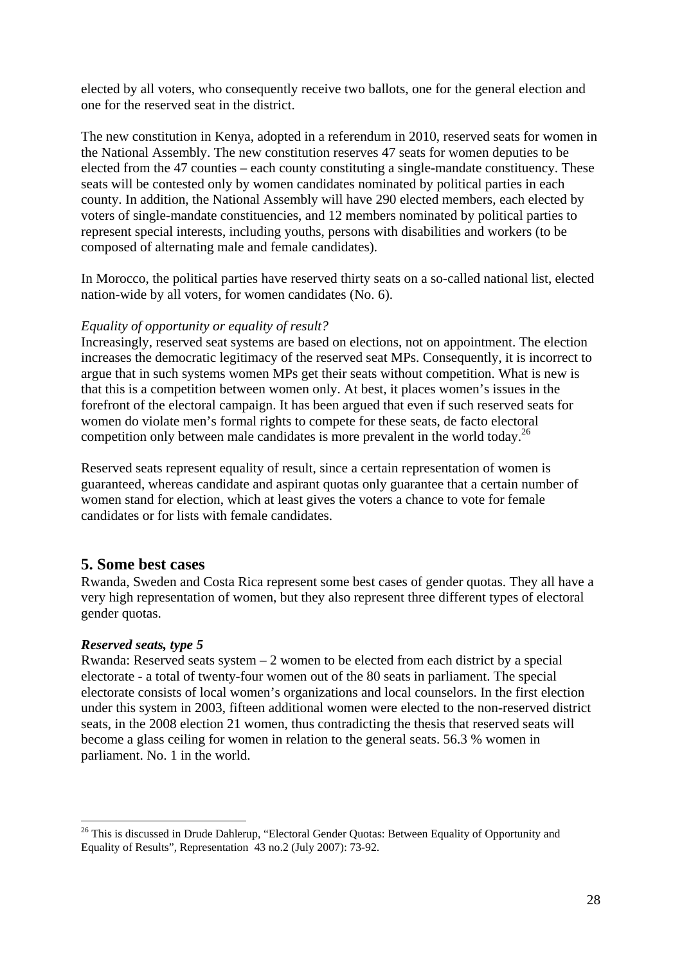elected by all voters, who consequently receive two ballots, one for the general election and one for the reserved seat in the district.

The new constitution in Kenya, adopted in a referendum in 2010, reserved seats for women in the National Assembly. The new constitution reserves 47 seats for women deputies to be elected from the 47 counties – each county constituting a single-mandate constituency. These seats will be contested only by women candidates nominated by political parties in each county. In addition, the National Assembly will have 290 elected members, each elected by voters of single-mandate constituencies, and 12 members nominated by political parties to represent special interests, including youths, persons with disabilities and workers (to be composed of alternating male and female candidates).

In Morocco, the political parties have reserved thirty seats on a so-called national list, elected nation-wide by all voters, for women candidates (No. 6).

#### *Equality of opportunity or equality of result?*

Increasingly, reserved seat systems are based on elections, not on appointment. The election increases the democratic legitimacy of the reserved seat MPs. Consequently, it is incorrect to argue that in such systems women MPs get their seats without competition. What is new is that this is a competition between women only. At best, it places women's issues in the forefront of the electoral campaign. It has been argued that even if such reserved seats for women do violate men's formal rights to compete for these seats, de facto electoral competition only between male candidates is more prevalent in the world today.<sup>26</sup>

Reserved seats represent equality of result, since a certain representation of women is guaranteed, whereas candidate and aspirant quotas only guarantee that a certain number of women stand for election, which at least gives the voters a chance to vote for female candidates or for lists with female candidates.

# **5. Some best cases**

Rwanda, Sweden and Costa Rica represent some best cases of gender quotas. They all have a very high representation of women, but they also represent three different types of electoral gender quotas.

#### *Reserved seats, type 5*

1

Rwanda: Reserved seats system  $-2$  women to be elected from each district by a special electorate - a total of twenty-four women out of the 80 seats in parliament. The special electorate consists of local women's organizations and local counselors. In the first election under this system in 2003, fifteen additional women were elected to the non-reserved district seats, in the 2008 election 21 women, thus contradicting the thesis that reserved seats will become a glass ceiling for women in relation to the general seats. 56.3 % women in parliament. No. 1 in the world.

<sup>&</sup>lt;sup>26</sup> This is discussed in Drude Dahlerup, "Electoral Gender Quotas: Between Equality of Opportunity and Equality of Results", Representation 43 no.2 (July 2007): 73-92.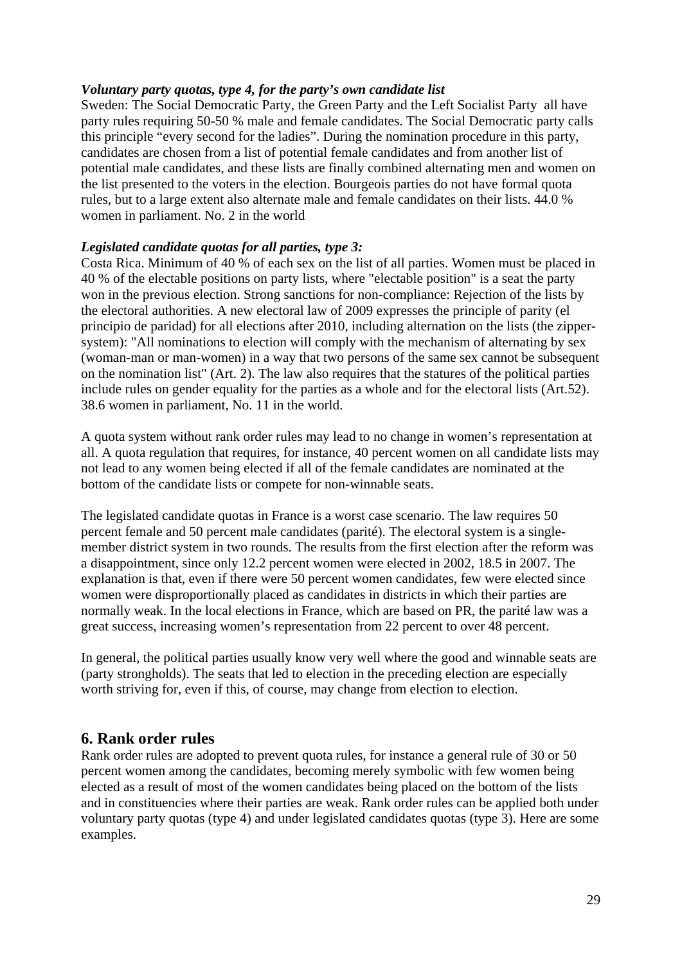### *Voluntary party quotas, type 4, for the party's own candidate list*

Sweden: The Social Democratic Party, the Green Party and the Left Socialist Party all have party rules requiring 50-50 % male and female candidates. The Social Democratic party calls this principle "every second for the ladies". During the nomination procedure in this party, candidates are chosen from a list of potential female candidates and from another list of potential male candidates, and these lists are finally combined alternating men and women on the list presented to the voters in the election. Bourgeois parties do not have formal quota rules, but to a large extent also alternate male and female candidates on their lists. 44.0 % women in parliament. No. 2 in the world

### *Legislated candidate quotas for all parties, type 3:*

Costa Rica. Minimum of 40 % of each sex on the list of all parties. Women must be placed in 40 % of the electable positions on party lists, where "electable position" is a seat the party won in the previous election. Strong sanctions for non-compliance: Rejection of the lists by the electoral authorities. A new electoral law of 2009 expresses the principle of parity (el principio de paridad) for all elections after 2010, including alternation on the lists (the zippersystem): "All nominations to election will comply with the mechanism of alternating by sex (woman-man or man-women) in a way that two persons of the same sex cannot be subsequent on the nomination list" (Art. 2). The law also requires that the statures of the political parties include rules on gender equality for the parties as a whole and for the electoral lists (Art.52). 38.6 women in parliament, No. 11 in the world.

A quota system without rank order rules may lead to no change in women's representation at all. A quota regulation that requires, for instance, 40 percent women on all candidate lists may not lead to any women being elected if all of the female candidates are nominated at the bottom of the candidate lists or compete for non-winnable seats.

The legislated candidate quotas in France is a worst case scenario. The law requires 50 percent female and 50 percent male candidates (parité). The electoral system is a singlemember district system in two rounds. The results from the first election after the reform was a disappointment, since only 12.2 percent women were elected in 2002, 18.5 in 2007. The explanation is that, even if there were 50 percent women candidates, few were elected since women were disproportionally placed as candidates in districts in which their parties are normally weak. In the local elections in France, which are based on PR, the parité law was a great success, increasing women's representation from 22 percent to over 48 percent.

In general, the political parties usually know very well where the good and winnable seats are (party strongholds). The seats that led to election in the preceding election are especially worth striving for, even if this, of course, may change from election to election.

# **6. Rank order rules**

Rank order rules are adopted to prevent quota rules, for instance a general rule of 30 or 50 percent women among the candidates, becoming merely symbolic with few women being elected as a result of most of the women candidates being placed on the bottom of the lists and in constituencies where their parties are weak. Rank order rules can be applied both under voluntary party quotas (type 4) and under legislated candidates quotas (type 3). Here are some examples.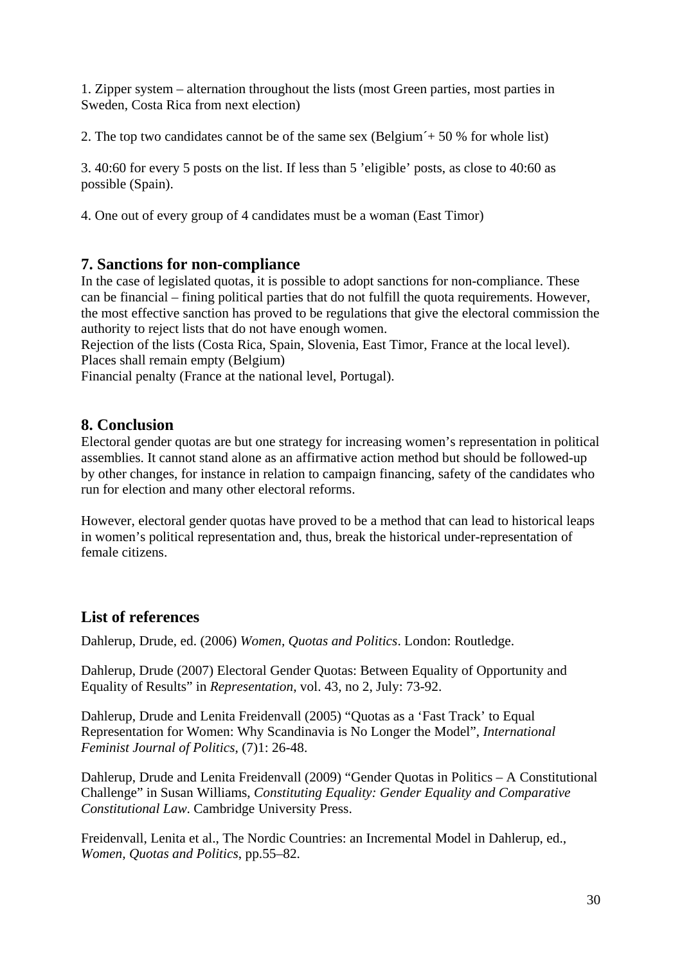1. Zipper system – alternation throughout the lists (most Green parties, most parties in Sweden, Costa Rica from next election)

2. The top two candidates cannot be of the same sex (Belgium<sup> $\div$ </sup> 50 % for whole list)

3. 40:60 for every 5 posts on the list. If less than 5 'eligible' posts, as close to 40:60 as possible (Spain).

4. One out of every group of 4 candidates must be a woman (East Timor)

# **7. Sanctions for non-compliance**

In the case of legislated quotas, it is possible to adopt sanctions for non-compliance. These can be financial – fining political parties that do not fulfill the quota requirements. However, the most effective sanction has proved to be regulations that give the electoral commission the authority to reject lists that do not have enough women.

Rejection of the lists (Costa Rica, Spain, Slovenia, East Timor, France at the local level). Places shall remain empty (Belgium)

Financial penalty (France at the national level, Portugal).

# **8. Conclusion**

Electoral gender quotas are but one strategy for increasing women's representation in political assemblies. It cannot stand alone as an affirmative action method but should be followed-up by other changes, for instance in relation to campaign financing, safety of the candidates who run for election and many other electoral reforms.

However, electoral gender quotas have proved to be a method that can lead to historical leaps in women's political representation and, thus, break the historical under-representation of female citizens.

# **List of references**

Dahlerup, Drude, ed. (2006) *Women, Quotas and Politics*. London: Routledge.

Dahlerup, Drude (2007) Electoral Gender Quotas: Between Equality of Opportunity and Equality of Results" in *Representation*, vol. 43, no 2, July: 73-92.

Dahlerup, Drude and Lenita Freidenvall (2005) "Quotas as a 'Fast Track' to Equal Representation for Women: Why Scandinavia is No Longer the Model", *International Feminist Journal of Politics*, (7)1: 26-48.

Dahlerup, Drude and Lenita Freidenvall (2009) "Gender Quotas in Politics – A Constitutional Challenge" in Susan Williams, *Constituting Equality: Gender Equality and Comparative Constitutional Law*. Cambridge University Press.

Freidenvall, Lenita et al., The Nordic Countries: an Incremental Model in Dahlerup, ed., *Women, Quotas and Politics*, pp.55–82.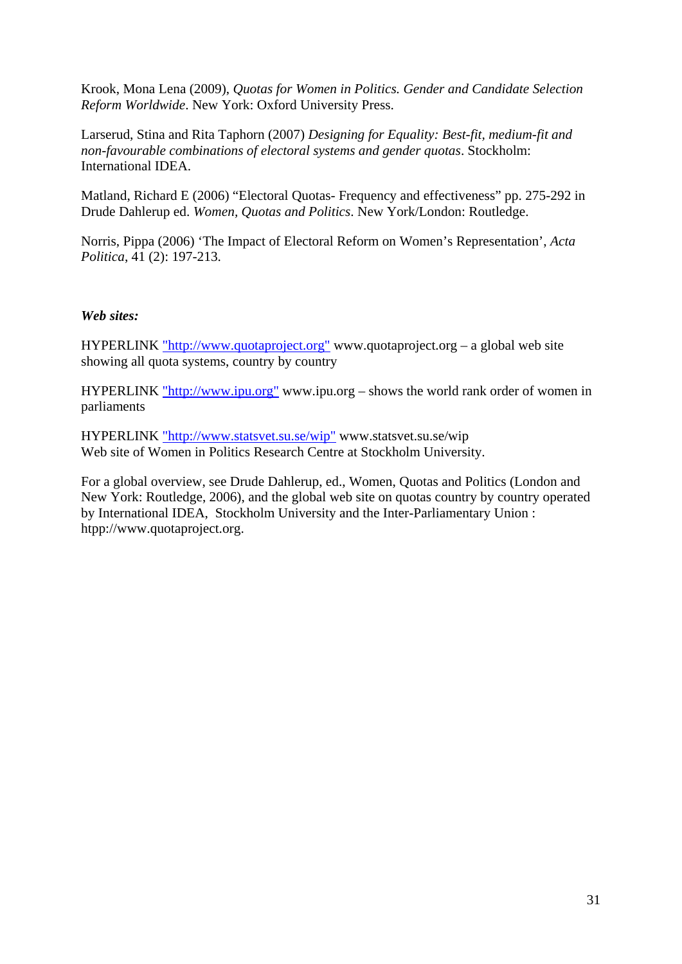Krook, Mona Lena (2009), *Quotas for Women in Politics. Gender and Candidate Selection Reform Worldwide*. New York: Oxford University Press.

Larserud, Stina and Rita Taphorn (2007) *Designing for Equality: Best-fit, medium-fit and non-favourable combinations of electoral systems and gender quotas*. Stockholm: International IDEA.

Matland, Richard E (2006) "Electoral Quotas- Frequency and effectiveness" pp. 275-292 in Drude Dahlerup ed. *Women, Quotas and Politics*. New York/London: Routledge.

Norris, Pippa (2006) 'The Impact of Electoral Reform on Women's Representation', *Acta Politica*, 41 (2): 197-213.

### *Web sites:*

HYPERLINK "http://www.quotaproject.org" www.quotaproject.org – a global web site showing all quota systems, country by country

HYPERLINK "http://www.ipu.org" www.ipu.org – shows the world rank order of women in parliaments

HYPERLINK "http://www.statsvet.su.se/wip" www.statsvet.su.se/wip Web site of Women in Politics Research Centre at Stockholm University.

For a global overview, see Drude Dahlerup, ed., Women, Quotas and Politics (London and New York: Routledge, 2006), and the global web site on quotas country by country operated by International IDEA, Stockholm University and the Inter-Parliamentary Union : htpp://www.quotaproject.org.